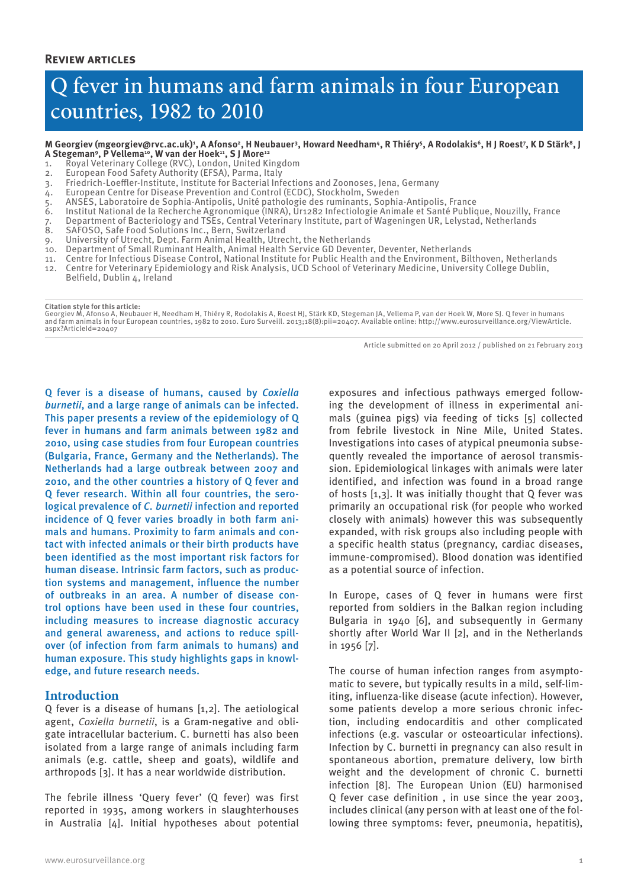# Q fever in humans and farm animals in four European countries, 1982 to 2010

#### M Georgiev (mgeorgiev@rvc.ac.uk)<sup>1</sup>, A Afonso<sup>2</sup>, H Neubauer<sup>3</sup>, Howard Needham<sup>4</sup>, R Thiéry<sup>5</sup>, A Rodolakis<sup>6</sup>, H J Roest7, K D Stärk<sup>8</sup>, J A Stegeman<sup>9</sup>, P Vellema<sup>10</sup>, W van der Hoek<sup>11</sup>, S J More<sup>12</sup>

- 1. Royal Veterinary College (RVC), London, United Kingdom
- 2. European Food Safety Authority (EFSA), Parma, Italy
- 3. Friedrich-Loeffler-Institute, Institute for Bacterial Infections and Zoonoses, Jena, Germany
- European Centre for Disease Prevention and Control (ECDC), Stockholm, Sweden
- 5. ANSES, Laboratoire de Sophia-Antipolis, Unité pathologie des ruminants, Sophia-Antipolis, France
- 6. Institut National de la Recherche Agronomique (INRA), Ur1282 Infectiologie Animale et Santé Publique, Nouzilly, France
- 7. Department of Bacteriology and TSEs, Central Veterinary Institute, part of Wageningen UR, Lelystad, Netherlands
- 8. SAFOSO, Safe Food Solutions Inc., Bern, Switzerland
- 9. University of Utrecht, Dept. Farm Animal Health, Utrecht, the Netherlands
- 10. Department of Small Ruminant Health, Animal Health Service GD Deventer, Deventer, Netherlands
- 
- 11. Centre for Infectious Disease Control, National Institute for Public Health and the Environment, Bilthoven, Netherlands 12. Centre for Veterinary Epidemiology and Risk Analysis, UCD School of Veterinary Medicine, University College Dublin,
- Belfield, Dublin 4, Ireland

**Citation style for this article:** Georgiev M, Afonso A, Neubauer H, Needham H, Thiéry R, Rodolakis A, Roest HJ, Stärk KD, Stegeman JA, Vellema P, van der Hoek W, More SJ. Q fever in humans and farm animals in four European countries, 1982 to 2010. Euro Surveill. 2013;18(8):pii=20407. Available online: http://www.eurosurveillance.org/ViewArticle. aspx?ArticleId=20407

Article submitted on 20 April 2012 / published on 21 February 2013

exposures and infectious pathways emerged follow-

Q fever is a disease of humans, caused by *Coxiella burnetii*, and a large range of animals can be infected. This paper presents a review of the epidemiology of Q fever in humans and farm animals between 1982 and 2010, using case studies from four European countries (Bulgaria, France, Germany and the Netherlands). The Netherlands had a large outbreak between 2007 and 2010, and the other countries a history of Q fever and Q fever research. Within all four countries, the serological prevalence of *C. burnetii* infection and reported incidence of Q fever varies broadly in both farm animals and humans. Proximity to farm animals and contact with infected animals or their birth products have been identified as the most important risk factors for human disease. Intrinsic farm factors, such as production systems and management, influence the number of outbreaks in an area. A number of disease control options have been used in these four countries, including measures to increase diagnostic accuracy and general awareness, and actions to reduce spillover (of infection from farm animals to humans) and human exposure. This study highlights gaps in knowledge, and future research needs.

#### **Introduction**

Q fever is a disease of humans [1,2]. The aetiological agent, *Coxiella burnetii*, is a Gram-negative and obligate intracellular bacterium. C. burnetti has also been isolated from a large range of animals including farm animals (e.g. cattle, sheep and goats), wildlife and arthropods [3]. It has a near worldwide distribution.

The febrile illness 'Query fever' (Q fever) was first reported in 1935, among workers in slaughterhouses in Australia [4]. Initial hypotheses about potential ing the development of illness in experimental animals (guinea pigs) via feeding of ticks [5] collected from febrile livestock in Nine Mile, United States. Investigations into cases of atypical pneumonia subsequently revealed the importance of aerosol transmission. Epidemiological linkages with animals were later identified, and infection was found in a broad range of hosts [1,3]. It was initially thought that Q fever was primarily an occupational risk (for people who worked closely with animals) however this was subsequently expanded, with risk groups also including people with a specific health status (pregnancy, cardiac diseases, immune-compromised). Blood donation was identified as a potential source of infection.

In Europe, cases of Q fever in humans were first reported from soldiers in the Balkan region including Bulgaria in 1940 [6], and subsequently in Germany shortly after World War II [2], and in the Netherlands in 1956 [7].

The course of human infection ranges from asymptomatic to severe, but typically results in a mild, self-limiting, influenza-like disease (acute infection). However, some patients develop a more serious chronic infection, including endocarditis and other complicated infections (e.g. vascular or osteoarticular infections). Infection by C. burnetti in pregnancy can also result in spontaneous abortion, premature delivery, low birth weight and the development of chronic C. burnetti infection [8]. The European Union (EU) harmonised Q fever case definition , in use since the year 2003, includes clinical (any person with at least one of the following three symptoms: fever, pneumonia, hepatitis),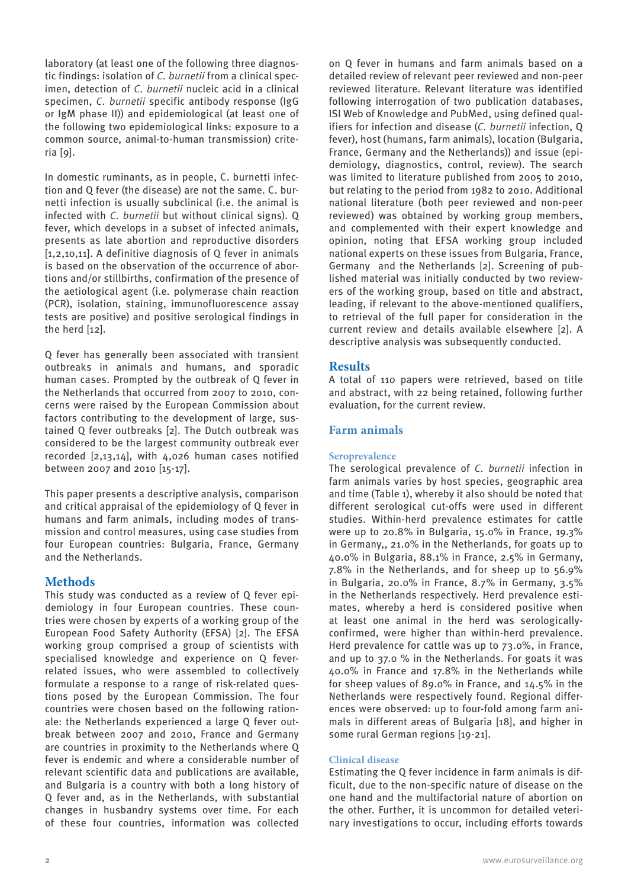laboratory (at least one of the following three diagnostic findings: isolation of *C. burnetii* from a clinical specimen, detection of *C. burnetii* nucleic acid in a clinical specimen, *C. burnetii* specific antibody response (IgG or IgM phase II)) and epidemiological (at least one of the following two epidemiological links: exposure to a common source, animal-to-human transmission) criteria [9].

In domestic ruminants, as in people, C. burnetti infection and Q fever (the disease) are not the same. C. burnetti infection is usually subclinical (i.e. the animal is infected with *C. burnetii* but without clinical signs). Q fever, which develops in a subset of infected animals, presents as late abortion and reproductive disorders [1,2,10,11]. A definitive diagnosis of Q fever in animals is based on the observation of the occurrence of abortions and/or stillbirths, confirmation of the presence of the aetiological agent (i.e. polymerase chain reaction (PCR), isolation, staining, immunofluorescence assay tests are positive) and positive serological findings in the herd [12].

Q fever has generally been associated with transient outbreaks in animals and humans, and sporadic human cases. Prompted by the outbreak of Q fever in the Netherlands that occurred from 2007 to 2010, concerns were raised by the European Commission about factors contributing to the development of large, sustained Q fever outbreaks [2]. The Dutch outbreak was considered to be the largest community outbreak ever recorded [2,13,14], with 4,026 human cases notified between 2007 and 2010 [15-17].

This paper presents a descriptive analysis, comparison and critical appraisal of the epidemiology of Q fever in humans and farm animals, including modes of transmission and control measures, using case studies from four European countries: Bulgaria, France, Germany and the Netherlands.

# **Methods**

This study was conducted as a review of Q fever epidemiology in four European countries. These countries were chosen by experts of a working group of the European Food Safety Authority (EFSA) [2]. The EFSA working group comprised a group of scientists with specialised knowledge and experience on Q feverrelated issues, who were assembled to collectively formulate a response to a range of risk-related questions posed by the European Commission. The four countries were chosen based on the following rationale: the Netherlands experienced a large Q fever outbreak between 2007 and 2010, France and Germany are countries in proximity to the Netherlands where Q fever is endemic and where a considerable number of relevant scientific data and publications are available, and Bulgaria is a country with both a long history of Q fever and, as in the Netherlands, with substantial changes in husbandry systems over time. For each of these four countries, information was collected

on Q fever in humans and farm animals based on a detailed review of relevant peer reviewed and non-peer reviewed literature. Relevant literature was identified following interrogation of two publication databases, ISI Web of Knowledge and PubMed, using defined qualifiers for infection and disease (*C. burnetii* infection, Q fever), host (humans, farm animals), location (Bulgaria, France, Germany and the Netherlands)) and issue (epidemiology, diagnostics, control, review). The search was limited to literature published from 2005 to 2010, but relating to the period from 1982 to 2010. Additional national literature (both peer reviewed and non-peer reviewed) was obtained by working group members, and complemented with their expert knowledge and opinion, noting that EFSA working group included national experts on these issues from Bulgaria, France, Germany and the Netherlands [2]. Screening of published material was initially conducted by two reviewers of the working group, based on title and abstract, leading, if relevant to the above-mentioned qualifiers, to retrieval of the full paper for consideration in the current review and details available elsewhere [2]. A descriptive analysis was subsequently conducted.

## **Results**

A total of 110 papers were retrieved, based on title and abstract, with 22 being retained, following further evaluation, for the current review.

## **Farm animals**

## **Seroprevalence**

The serological prevalence of *C. burnetii* infection in farm animals varies by host species, geographic area and time (Table 1), whereby it also should be noted that different serological cut-offs were used in different studies. Within-herd prevalence estimates for cattle were up to 20.8% in Bulgaria, 15.0% in France, 19.3% in Germany,, 21.0% in the Netherlands, for goats up to 40.0% in Bulgaria, 88.1% in France, 2.5% in Germany, 7.8% in the Netherlands, and for sheep up to 56.9% in Bulgaria, 20.0% in France, 8.7% in Germany, 3.5% in the Netherlands respectively. Herd prevalence estimates, whereby a herd is considered positive when at least one animal in the herd was serologicallyconfirmed, were higher than within-herd prevalence. Herd prevalence for cattle was up to 73.0%, in France, and up to 37.0 % in the Netherlands. For goats it was 40.0% in France and 17.8% in the Netherlands while for sheep values of 89.0% in France, and 14.5% in the Netherlands were respectively found. Regional differences were observed: up to four-fold among farm animals in different areas of Bulgaria [18], and higher in some rural German regions [19-21].

## **Clinical disease**

Estimating the Q fever incidence in farm animals is difficult, due to the non-specific nature of disease on the one hand and the multifactorial nature of abortion on the other. Further, it is uncommon for detailed veterinary investigations to occur, including efforts towards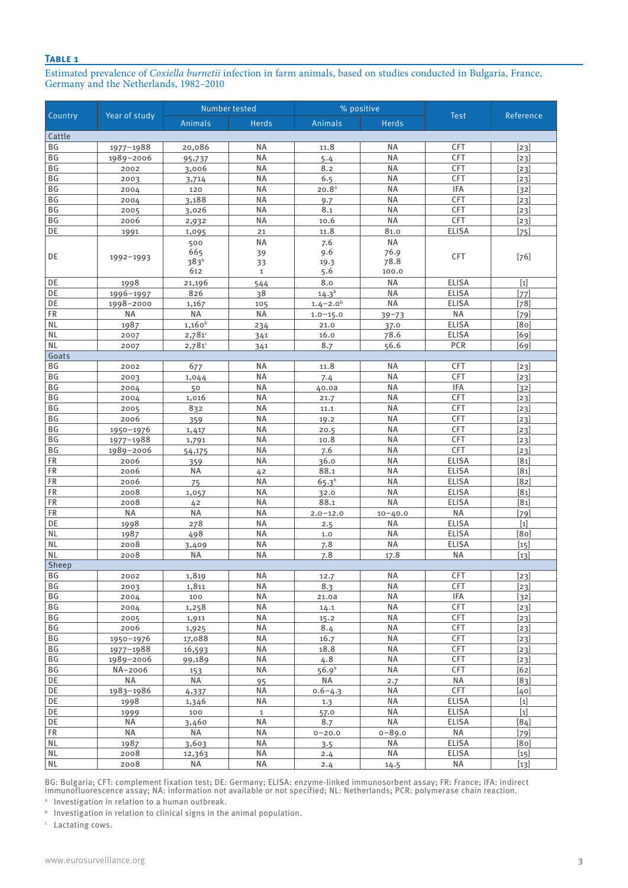#### **Table 1**

Estimated prevalence of *Coxiella burnetii* infection in farm animals, based on studies conducted in Bulgaria, France, Germany and the Netherlands, 1982–2010

| Country                | Year of study          | Number tested                                |              | % positive        |                 |                           |                                                                                                                                                                                                                                                                                                                                                                                                                                                                                                                                                                                                                                                                                                                                                                                                                                                                                                                                |
|------------------------|------------------------|----------------------------------------------|--------------|-------------------|-----------------|---------------------------|--------------------------------------------------------------------------------------------------------------------------------------------------------------------------------------------------------------------------------------------------------------------------------------------------------------------------------------------------------------------------------------------------------------------------------------------------------------------------------------------------------------------------------------------------------------------------------------------------------------------------------------------------------------------------------------------------------------------------------------------------------------------------------------------------------------------------------------------------------------------------------------------------------------------------------|
|                        |                        | Animals                                      | <b>Herds</b> | Animals           | <b>Herds</b>    | <b>Test</b>               | Reference                                                                                                                                                                                                                                                                                                                                                                                                                                                                                                                                                                                                                                                                                                                                                                                                                                                                                                                      |
| Cattle                 |                        |                                              |              |                   |                 |                           |                                                                                                                                                                                                                                                                                                                                                                                                                                                                                                                                                                                                                                                                                                                                                                                                                                                                                                                                |
| ΒG                     | 1977-1988              | 20,086                                       | ΝA           | 11.8              | ΝA              | CFT                       | $[23]$                                                                                                                                                                                                                                                                                                                                                                                                                                                                                                                                                                                                                                                                                                                                                                                                                                                                                                                         |
| BG                     | 1989-2006              | 95,737                                       | <b>NA</b>    | 5.4               | <b>NA</b>       | CFT                       | $[23]$                                                                                                                                                                                                                                                                                                                                                                                                                                                                                                                                                                                                                                                                                                                                                                                                                                                                                                                         |
| BG                     | 2002                   | 3,006                                        | <b>NA</b>    | 8.2               | <b>NA</b>       | <b>CFT</b>                | $[23]$                                                                                                                                                                                                                                                                                                                                                                                                                                                                                                                                                                                                                                                                                                                                                                                                                                                                                                                         |
| BG                     | 2003                   | 3,714                                        | <b>NA</b>    | 6.5               | <b>NA</b>       | CFT                       | $[23]$                                                                                                                                                                                                                                                                                                                                                                                                                                                                                                                                                                                                                                                                                                                                                                                                                                                                                                                         |
| BG                     | 2004                   | 120                                          | <b>NA</b>    | 20.8 <sup>a</sup> | <b>NA</b>       | <b>IFA</b>                | $[32]$                                                                                                                                                                                                                                                                                                                                                                                                                                                                                                                                                                                                                                                                                                                                                                                                                                                                                                                         |
| BG                     | 2004                   | 3,188                                        | <b>NA</b>    | 9.7               | <b>NA</b>       | CFT                       | $[23]$                                                                                                                                                                                                                                                                                                                                                                                                                                                                                                                                                                                                                                                                                                                                                                                                                                                                                                                         |
| BG                     | 2005                   | 3,026                                        | <b>NA</b>    | 8.1               | <b>NA</b>       | CFT                       | $[23]$                                                                                                                                                                                                                                                                                                                                                                                                                                                                                                                                                                                                                                                                                                                                                                                                                                                                                                                         |
| BG                     | 2006                   | 2,932                                        | <b>NA</b>    | 10.6              | <b>NA</b>       | CFT                       | $[23]$                                                                                                                                                                                                                                                                                                                                                                                                                                                                                                                                                                                                                                                                                                                                                                                                                                                                                                                         |
| DE                     | 1991                   | 1,095                                        | 21           | 11.8              | 81.0            | <b>ELISA</b>              | $[75]$                                                                                                                                                                                                                                                                                                                                                                                                                                                                                                                                                                                                                                                                                                                                                                                                                                                                                                                         |
|                        |                        | 500                                          | <b>NA</b>    | 7.6               | <b>NA</b>       |                           |                                                                                                                                                                                                                                                                                                                                                                                                                                                                                                                                                                                                                                                                                                                                                                                                                                                                                                                                |
| DE                     | 1992-1993              | 665                                          | 39           | 9.6               | 76.9            | <b>CFT</b>                | $[76]$                                                                                                                                                                                                                                                                                                                                                                                                                                                                                                                                                                                                                                                                                                                                                                                                                                                                                                                         |
|                        |                        | 383 <sup>b</sup>                             | 33           | 19.3              | 78.8            |                           |                                                                                                                                                                                                                                                                                                                                                                                                                                                                                                                                                                                                                                                                                                                                                                                                                                                                                                                                |
|                        |                        | 612                                          | $\mathbf{1}$ | 5.6               | 100.0           |                           |                                                                                                                                                                                                                                                                                                                                                                                                                                                                                                                                                                                                                                                                                                                                                                                                                                                                                                                                |
| DE                     | 1998                   | 21,196                                       | 544          | 8.0               | <b>NA</b>       | <b>ELISA</b>              | $[1]$                                                                                                                                                                                                                                                                                                                                                                                                                                                                                                                                                                                                                                                                                                                                                                                                                                                                                                                          |
| DE                     | 1996-1997              | 826                                          | 38           | $14.3^{b}$        | <b>NA</b>       | <b>ELISA</b>              | $[77]$                                                                                                                                                                                                                                                                                                                                                                                                                                                                                                                                                                                                                                                                                                                                                                                                                                                                                                                         |
| DE                     | 1998-2000<br><b>NA</b> | 1,167<br><b>NA</b>                           | 105          | $1.4 - 2.0b$      | <b>NA</b>       | <b>ELISA</b><br><b>NA</b> | $[78]$                                                                                                                                                                                                                                                                                                                                                                                                                                                                                                                                                                                                                                                                                                                                                                                                                                                                                                                         |
| <b>FR</b><br><b>NL</b> |                        | $1,160^{b}$                                  | NA           | $1.0 - 15.0$      | $39 - 73$       | <b>ELISA</b>              | $[79]$<br>[80]                                                                                                                                                                                                                                                                                                                                                                                                                                                                                                                                                                                                                                                                                                                                                                                                                                                                                                                 |
| <b>NL</b>              | 1987                   |                                              | 234          | 21.0<br>16.0      | 37.0<br>78.6    | <b>ELISA</b>              |                                                                                                                                                                                                                                                                                                                                                                                                                                                                                                                                                                                                                                                                                                                                                                                                                                                                                                                                |
| <b>NL</b>              | 2007<br>2007           | $2,781$ <sup>c</sup><br>$2,781$ <sup>c</sup> | 341          | 8.7               | 56.6            | PCR                       | [69]<br>[69]                                                                                                                                                                                                                                                                                                                                                                                                                                                                                                                                                                                                                                                                                                                                                                                                                                                                                                                   |
| Goats                  |                        |                                              | 341          |                   |                 |                           |                                                                                                                                                                                                                                                                                                                                                                                                                                                                                                                                                                                                                                                                                                                                                                                                                                                                                                                                |
| BG                     | 2002                   | 677                                          | <b>NA</b>    | 11.8              | <b>NA</b>       | <b>CFT</b>                | $[23]$                                                                                                                                                                                                                                                                                                                                                                                                                                                                                                                                                                                                                                                                                                                                                                                                                                                                                                                         |
| BG                     | 2003                   | 1,044                                        | NA           | 7.4               | <b>NA</b>       | <b>CFT</b>                | $[23]$                                                                                                                                                                                                                                                                                                                                                                                                                                                                                                                                                                                                                                                                                                                                                                                                                                                                                                                         |
| BG                     | 2004                   | 50                                           | <b>NA</b>    | 40.0a             | <b>NA</b>       | <b>IFA</b>                | $[32]$                                                                                                                                                                                                                                                                                                                                                                                                                                                                                                                                                                                                                                                                                                                                                                                                                                                                                                                         |
| <b>BG</b>              | 2004                   | 1,016                                        | <b>NA</b>    | 21.7              | <b>NA</b>       | CFT                       | $[23]$                                                                                                                                                                                                                                                                                                                                                                                                                                                                                                                                                                                                                                                                                                                                                                                                                                                                                                                         |
| BG                     | 2005                   | 832                                          | <b>NA</b>    | 11.1              | <b>NA</b>       | CFT                       | $[23]$                                                                                                                                                                                                                                                                                                                                                                                                                                                                                                                                                                                                                                                                                                                                                                                                                                                                                                                         |
| BG                     | 2006                   | 359                                          | <b>NA</b>    | 19.2              | <b>NA</b>       | CFT                       | $[23]$                                                                                                                                                                                                                                                                                                                                                                                                                                                                                                                                                                                                                                                                                                                                                                                                                                                                                                                         |
| BG                     | $1950 - 1976$          | 1,417                                        | <b>NA</b>    | 20.5              | <b>NA</b>       | CFT                       | $[23]$                                                                                                                                                                                                                                                                                                                                                                                                                                                                                                                                                                                                                                                                                                                                                                                                                                                                                                                         |
| BG                     | 1977-1988              | 1,791                                        | <b>NA</b>    | 10.8              | <b>NA</b>       | CFT                       | $[23]$                                                                                                                                                                                                                                                                                                                                                                                                                                                                                                                                                                                                                                                                                                                                                                                                                                                                                                                         |
| BG                     | 1989-2006              | 54,175                                       | <b>NA</b>    | 7.6               | <b>NA</b>       | CFT                       | $[23]$                                                                                                                                                                                                                                                                                                                                                                                                                                                                                                                                                                                                                                                                                                                                                                                                                                                                                                                         |
| FR                     | 2006                   | 359                                          | <b>NA</b>    | 36.0              | <b>NA</b>       | <b>ELISA</b>              | [81]                                                                                                                                                                                                                                                                                                                                                                                                                                                                                                                                                                                                                                                                                                                                                                                                                                                                                                                           |
| FR                     | 2006                   | <b>NA</b>                                    | 42           | 88.1              | <b>NA</b>       | <b>ELISA</b>              | [81]                                                                                                                                                                                                                                                                                                                                                                                                                                                                                                                                                                                                                                                                                                                                                                                                                                                                                                                           |
| FR                     | 2006                   | 75                                           | <b>NA</b>    | $65.3^{b}$        | <b>NA</b>       | <b>ELISA</b>              | [82]                                                                                                                                                                                                                                                                                                                                                                                                                                                                                                                                                                                                                                                                                                                                                                                                                                                                                                                           |
| FR                     | 2008                   | 1,057                                        | <b>NA</b>    | 32.0              | <b>NA</b>       | <b>ELISA</b>              | [81]                                                                                                                                                                                                                                                                                                                                                                                                                                                                                                                                                                                                                                                                                                                                                                                                                                                                                                                           |
| <b>FR</b>              | 2008                   | 42                                           | <b>NA</b>    | 88.1              | <b>NA</b>       | <b>ELISA</b>              | [81]                                                                                                                                                                                                                                                                                                                                                                                                                                                                                                                                                                                                                                                                                                                                                                                                                                                                                                                           |
| FR                     | <b>NA</b>              | <b>NA</b>                                    | <b>NA</b>    | $2.0 - 12.0$      | $10 - 40.0$     | <b>NA</b>                 | $[79]$                                                                                                                                                                                                                                                                                                                                                                                                                                                                                                                                                                                                                                                                                                                                                                                                                                                                                                                         |
| DE                     | 1998                   | 278                                          | <b>NA</b>    | 2.5               | <b>NA</b>       | <b>ELISA</b>              | $[1]$                                                                                                                                                                                                                                                                                                                                                                                                                                                                                                                                                                                                                                                                                                                                                                                                                                                                                                                          |
| <b>NL</b>              | 1987                   | 498                                          | <b>NA</b>    | 1.0               | <b>NA</b>       | <b>ELISA</b>              | [80]                                                                                                                                                                                                                                                                                                                                                                                                                                                                                                                                                                                                                                                                                                                                                                                                                                                                                                                           |
| <b>NL</b>              | 2008                   | 3,409                                        | <b>NA</b>    | 7.8               | <b>NA</b>       | <b>ELISA</b>              | $[15]$                                                                                                                                                                                                                                                                                                                                                                                                                                                                                                                                                                                                                                                                                                                                                                                                                                                                                                                         |
| <b>NL</b>              | 2008                   | NA                                           | <b>NA</b>    | 7.8               | 17.8            | <b>NA</b>                 | [13]                                                                                                                                                                                                                                                                                                                                                                                                                                                                                                                                                                                                                                                                                                                                                                                                                                                                                                                           |
| Sheep                  |                        |                                              | <b>NA</b>    |                   |                 | CFT                       |                                                                                                                                                                                                                                                                                                                                                                                                                                                                                                                                                                                                                                                                                                                                                                                                                                                                                                                                |
| BG<br>BG               | 2002                   | 1,819<br>1,811                               | ΝA           | 12.7<br>8.3       | <b>NA</b><br>ΝA | <b>CFT</b>                | $[23]$                                                                                                                                                                                                                                                                                                                                                                                                                                                                                                                                                                                                                                                                                                                                                                                                                                                                                                                         |
| BG                     | 2003<br>2004           | 100                                          | <b>NA</b>    | 21.0a             | <b>NA</b>       | IFA                       | $[23]$<br>$[32]$                                                                                                                                                                                                                                                                                                                                                                                                                                                                                                                                                                                                                                                                                                                                                                                                                                                                                                               |
| ΒG                     | 2004                   | 1,258                                        | <b>NA</b>    | 14.1              | NA              | CFT                       | $[23]$                                                                                                                                                                                                                                                                                                                                                                                                                                                                                                                                                                                                                                                                                                                                                                                                                                                                                                                         |
| BG                     | 2005                   | 1,911                                        | NA           | 15.2              | <b>NA</b>       | CFT                       | $[23]$                                                                                                                                                                                                                                                                                                                                                                                                                                                                                                                                                                                                                                                                                                                                                                                                                                                                                                                         |
| BG                     | 2006                   | 1,925                                        | <b>NA</b>    | 8.4               | <b>NA</b>       | CFT                       | $[23]$                                                                                                                                                                                                                                                                                                                                                                                                                                                                                                                                                                                                                                                                                                                                                                                                                                                                                                                         |
| ΒG                     | 1950-1976              | 17,088                                       | <b>NA</b>    | 16.7              | NA              | <b>CFT</b>                | $[23]$                                                                                                                                                                                                                                                                                                                                                                                                                                                                                                                                                                                                                                                                                                                                                                                                                                                                                                                         |
| ΒG                     | 1977-1988              | 16,593                                       | <b>NA</b>    | 18.8              | <b>NA</b>       | CFT                       | $[23]$                                                                                                                                                                                                                                                                                                                                                                                                                                                                                                                                                                                                                                                                                                                                                                                                                                                                                                                         |
| BG                     | 1989-2006              | 99,189                                       | <b>NA</b>    | 4.8               | <b>NA</b>       | CFT                       | $[23]$                                                                                                                                                                                                                                                                                                                                                                                                                                                                                                                                                                                                                                                                                                                                                                                                                                                                                                                         |
| ΒG                     | NA-2006                | 153                                          | NA           | 56.9 <sup>b</sup> | <b>NA</b>       | <b>CFT</b>                | [62]                                                                                                                                                                                                                                                                                                                                                                                                                                                                                                                                                                                                                                                                                                                                                                                                                                                                                                                           |
| DE                     | ΝA                     | NA                                           | 95           | NA                | 2.7             | NA                        | $[83]$                                                                                                                                                                                                                                                                                                                                                                                                                                                                                                                                                                                                                                                                                                                                                                                                                                                                                                                         |
| DE                     | 1983-1986              | 4,337                                        | <b>NA</b>    | $0.6 - 4.3$       | <b>NA</b>       | CFT                       | [40]                                                                                                                                                                                                                                                                                                                                                                                                                                                                                                                                                                                                                                                                                                                                                                                                                                                                                                                           |
| DE                     | 1998                   | 1,346                                        | <b>NA</b>    | 1.3               | <b>NA</b>       | <b>ELISA</b>              | $[1] % \begin{center} % \includegraphics[width=\linewidth]{imagesSupplemental_3.png} % \end{center} % \caption { % Our method is used for the method. % Our method is used for the method. % Note that the method is used for the method. % Note that the method is used for the method. % Note that the method is used for the method. % Note that the method is used for the method. % Note that the method is used for the method. % Note that the method is used for the method. % Note that the method is used for the method. % Note that the method is used for the method. % Note that the method is used for the method. % Note that the method is used for the method. % Note that the method is used for the method. % Note that the method is used for the method. % Note that the method is used for the method. % Note that the method is used for the method. % Note that the method is used for the method. %$ |
| DE                     | 1999                   | 100                                          | $\mathbf{1}$ | 57.0              | <b>NA</b>       | <b>ELISA</b>              | $[1]$                                                                                                                                                                                                                                                                                                                                                                                                                                                                                                                                                                                                                                                                                                                                                                                                                                                                                                                          |
| DE                     | NA                     | 3,460                                        | <b>NA</b>    | 8.7               | <b>NA</b>       | <b>ELISA</b>              | [84]                                                                                                                                                                                                                                                                                                                                                                                                                                                                                                                                                                                                                                                                                                                                                                                                                                                                                                                           |
| <b>FR</b>              | <b>NA</b>              | <b>NA</b>                                    | <b>NA</b>    | $0 - 20.0$        | $0 - 89.0$      | <b>NA</b>                 | $[79]$                                                                                                                                                                                                                                                                                                                                                                                                                                                                                                                                                                                                                                                                                                                                                                                                                                                                                                                         |
| <b>NL</b>              | 1987                   | 3,603                                        | <b>NA</b>    | 3.5               | <b>NA</b>       | ELISA                     | [80]                                                                                                                                                                                                                                                                                                                                                                                                                                                                                                                                                                                                                                                                                                                                                                                                                                                                                                                           |
| <b>NL</b>              | 2008                   | 12,363                                       | NA           | 2.4               | <b>NA</b>       | <b>ELISA</b>              | $[15]$                                                                                                                                                                                                                                                                                                                                                                                                                                                                                                                                                                                                                                                                                                                                                                                                                                                                                                                         |
| <b>NL</b>              | 2008                   | NA                                           | $\sf NA$     | 2.4               | 14.5            | <b>NA</b>                 | $[13]$                                                                                                                                                                                                                                                                                                                                                                                                                                                                                                                                                                                                                                                                                                                                                                                                                                                                                                                         |

BG: Bulgaria; CFT: complement fixation test; DE: Germany; ELISA: enzyme-linked immunosorbent assay; FR: France; IFA: indirect immunofluorescence assay; NA: information not available or not specified; NL: Netherlands; PCR: polymerase chain reaction.

a Investigation in relation to a human outbreak.

**b** Investigation in relation to clinical signs in the animal population.

c Lactating cows.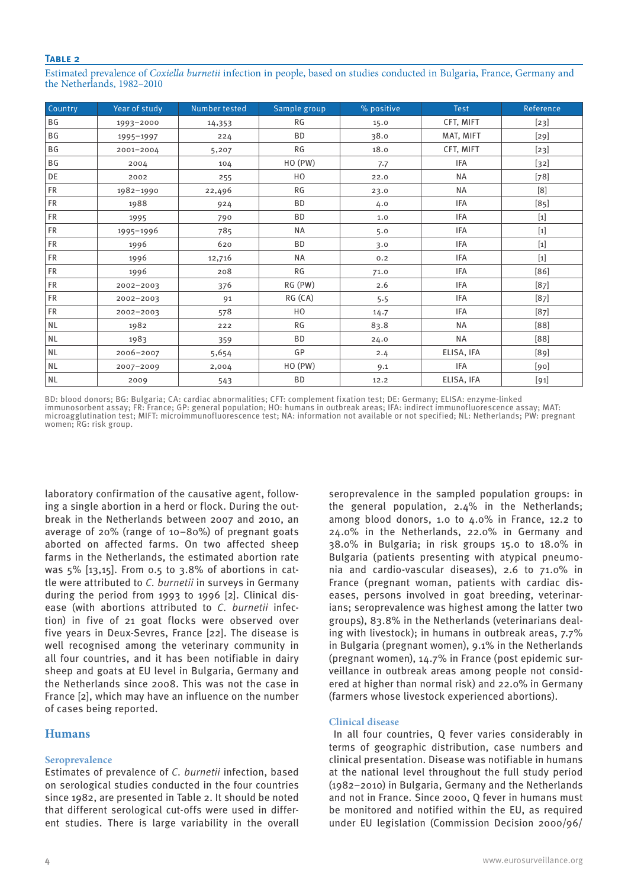#### **Table 2**

Estimated prevalence of *Coxiella burnetii* infection in people, based on studies conducted in Bulgaria, France, Germany and the Netherlands, 1982–2010

| Country   | Year of study | Number tested | Sample group | % positive | <b>Test</b> | Reference                                                                                                                                                                                                                                                                                                                                                                                                                                                                                                                                                                                                                                                                                                                                                                                                                                                                                                                      |
|-----------|---------------|---------------|--------------|------------|-------------|--------------------------------------------------------------------------------------------------------------------------------------------------------------------------------------------------------------------------------------------------------------------------------------------------------------------------------------------------------------------------------------------------------------------------------------------------------------------------------------------------------------------------------------------------------------------------------------------------------------------------------------------------------------------------------------------------------------------------------------------------------------------------------------------------------------------------------------------------------------------------------------------------------------------------------|
| ΒG        | 1993-2000     | 14,353        | RG           | 15.0       | CFT, MIFT   | $[23]$                                                                                                                                                                                                                                                                                                                                                                                                                                                                                                                                                                                                                                                                                                                                                                                                                                                                                                                         |
| BG        | 1995-1997     | 224           | <b>BD</b>    | 38.0       | MAT, MIFT   | $[29]$                                                                                                                                                                                                                                                                                                                                                                                                                                                                                                                                                                                                                                                                                                                                                                                                                                                                                                                         |
| BG        | 2001-2004     | 5,207         | RG           | 18.0       | CFT, MIFT   | $[23]$                                                                                                                                                                                                                                                                                                                                                                                                                                                                                                                                                                                                                                                                                                                                                                                                                                                                                                                         |
| ΒG        | 2004          | 104           | HO(PW)       | 7.7        | IFA         | $[32]$                                                                                                                                                                                                                                                                                                                                                                                                                                                                                                                                                                                                                                                                                                                                                                                                                                                                                                                         |
| DE        | 2002          | 255           | HO           | 22.0       | <b>NA</b>   | $[78]$                                                                                                                                                                                                                                                                                                                                                                                                                                                                                                                                                                                                                                                                                                                                                                                                                                                                                                                         |
| <b>FR</b> | 1982-1990     | 22,496        | <b>RG</b>    | 23.0       | <b>NA</b>   | [8]                                                                                                                                                                                                                                                                                                                                                                                                                                                                                                                                                                                                                                                                                                                                                                                                                                                                                                                            |
| <b>FR</b> | 1988          | 924           | <b>BD</b>    | 4.0        | IFA         | $[85]$                                                                                                                                                                                                                                                                                                                                                                                                                                                                                                                                                                                                                                                                                                                                                                                                                                                                                                                         |
| <b>FR</b> | 1995          | 790           | <b>BD</b>    | 1.0        | IFA         | $[1] % \begin{center} % \includegraphics[width=\linewidth]{imagesSupplemental_3.png} % \end{center} % \caption { % Our method is used for the method. % Our method is used for the method. % Note that the method is used for the method. % Note that the method is used for the method. % Note that the method is used for the method. % Note that the method is used for the method. % Note that the method is used for the method. % Note that the method is used for the method. % Note that the method is used for the method. % Note that the method is used for the method. % Note that the method is used for the method. % Note that the method is used for the method. % Note that the method is used for the method. % Note that the method is used for the method. % Note that the method is used for the method. % Note that the method is used for the method. % Note that the method is used for the method. %$ |
| <b>FR</b> | 1995-1996     | 785           | NA           | 5.0        | IFA         | $[1] % \centering \includegraphics[width=0.9\columnwidth]{figures/fig_10.pdf} \caption{The graph $\mathcal{N}_1$ is a function of the number of times, and the number of times, and the number of times, are indicated with the number of times, and the number of times, are indicated with the number of times, and the number of times, are indicated with the number of times, and the number of times, are indicated with the number of times, and the number of times, are indicated with the number of times, and the number of times, are indicated with the number of times, and the number of times, are indicated with the number of times, and the number of times, are indicated with the number of times.} \label{fig:3}$                                                                                                                                                                                        |
| <b>FR</b> | 1996          | 620           | <b>BD</b>    | 3.0        | IFA         | $[1] % \begin{center} % \includegraphics[width=\linewidth]{imagesSupplemental_3.png} % \end{center} % \caption { % Our method is used for the method. % Our method is used for the method. % Note that the method is used for the method. % Note that the method is used for the method. % Note that the method is used for the method. % Note that the method is used for the method. % Note that the method is used for the method. % Note that the method is used for the method. % Note that the method is used for the method. % Note that the method is used for the method. % Note that the method is used for the method. % Note that the method is used for the method. % Note that the method is used for the method. % Note that the method is used for the method. % Note that the method is used for the method. % Note that the method is used for the method. % Note that the method is used for the method. %$ |
| <b>FR</b> | 1996          | 12,716        | NA           | 0.2        | IFA         | $[1]$                                                                                                                                                                                                                                                                                                                                                                                                                                                                                                                                                                                                                                                                                                                                                                                                                                                                                                                          |
| <b>FR</b> | 1996          | 208           | RG           | 71.0       | IFA         | [86]                                                                                                                                                                                                                                                                                                                                                                                                                                                                                                                                                                                                                                                                                                                                                                                                                                                                                                                           |
| <b>FR</b> | 2002-2003     | 376           | RG (PW)      | 2.6        | IFA         | $[87]$                                                                                                                                                                                                                                                                                                                                                                                                                                                                                                                                                                                                                                                                                                                                                                                                                                                                                                                         |
| <b>FR</b> | 2002-2003     | 91            | RG(CA)       | 5.5        | IFA         | [87]                                                                                                                                                                                                                                                                                                                                                                                                                                                                                                                                                                                                                                                                                                                                                                                                                                                                                                                           |
| <b>FR</b> | 2002-2003     | 578           | HO           | 14.7       | IFA         | $[87]$                                                                                                                                                                                                                                                                                                                                                                                                                                                                                                                                                                                                                                                                                                                                                                                                                                                                                                                         |
| $\sf NL$  | 1982          | 222           | RG           | 83.8       | <b>NA</b>   | [88]                                                                                                                                                                                                                                                                                                                                                                                                                                                                                                                                                                                                                                                                                                                                                                                                                                                                                                                           |
| <b>NL</b> | 1983          | 359           | <b>BD</b>    | 24.0       | <b>NA</b>   | [88]                                                                                                                                                                                                                                                                                                                                                                                                                                                                                                                                                                                                                                                                                                                                                                                                                                                                                                                           |
| $\sf NL$  | 2006-2007     | 5,654         | GP           | 2.4        | ELISA, IFA  | [89]                                                                                                                                                                                                                                                                                                                                                                                                                                                                                                                                                                                                                                                                                                                                                                                                                                                                                                                           |
| <b>NL</b> | 2007-2009     | 2,004         | HO(PW)       | 9.1        | IFA         | [90]                                                                                                                                                                                                                                                                                                                                                                                                                                                                                                                                                                                                                                                                                                                                                                                                                                                                                                                           |
| <b>NL</b> | 2009          | 543           | <b>BD</b>    | 12.2       | ELISA, IFA  | $[91]$                                                                                                                                                                                                                                                                                                                                                                                                                                                                                                                                                                                                                                                                                                                                                                                                                                                                                                                         |

BD: blood donors; BG: Bulgaria; CA: cardiac abnormalities; CFT: complement fixation test; DE: Germany; ELISA: enzyme-linked immunosorbent assay; FR: France; GP: general population; HO: humans in outbreak areas; IFA: indirect immunofluorescence assay; MAT: microagglutination test; MIFT: microimmunofluorescence test; NA: information not available or not specified; NL: Netherlands; PW: pregnant women; RG: risk group.

laboratory confirmation of the causative agent, following a single abortion in a herd or flock. During the outbreak in the Netherlands between 2007 and 2010, an average of 20% (range of 10–80%) of pregnant goats aborted on affected farms. On two affected sheep farms in the Netherlands, the estimated abortion rate was 5% [13,15]. From 0.5 to 3.8% of abortions in cattle were attributed to *C. burnetii* in surveys in Germany during the period from 1993 to 1996 [2]. Clinical disease (with abortions attributed to *C. burnetii* infection) in five of 21 goat flocks were observed over five years in Deux-Sevres, France [22]. The disease is well recognised among the veterinary community in all four countries, and it has been notifiable in dairy sheep and goats at EU level in Bulgaria, Germany and the Netherlands since 2008. This was not the case in France [2], which may have an influence on the number of cases being reported.

## **Humans**

## **Seroprevalence**

Estimates of prevalence of *C. burnetii* infection, based on serological studies conducted in the four countries since 1982, are presented in Table 2. It should be noted that different serological cut-offs were used in different studies. There is large variability in the overall seroprevalence in the sampled population groups: in the general population, 2.4% in the Netherlands; among blood donors, 1.0 to 4.0% in France, 12.2 to 24.0% in the Netherlands, 22.0% in Germany and 38.0% in Bulgaria; in risk groups 15.0 to 18.0% in Bulgaria (patients presenting with atypical pneumonia and cardio-vascular diseases), 2.6 to 71.0% in France (pregnant woman, patients with cardiac diseases, persons involved in goat breeding, veterinarians; seroprevalence was highest among the latter two groups), 83.8% in the Netherlands (veterinarians dealing with livestock); in humans in outbreak areas, 7.7% in Bulgaria (pregnant women), 9.1% in the Netherlands (pregnant women), 14.7% in France (post epidemic surveillance in outbreak areas among people not considered at higher than normal risk) and 22.0% in Germany (farmers whose livestock experienced abortions).

#### **Clinical disease**

 In all four countries, Q fever varies considerably in terms of geographic distribution, case numbers and clinical presentation. Disease was notifiable in humans at the national level throughout the full study period (1982–2010) in Bulgaria, Germany and the Netherlands and not in France. Since 2000, Q fever in humans must be monitored and notified within the EU, as required under EU legislation (Commission Decision 2000/96/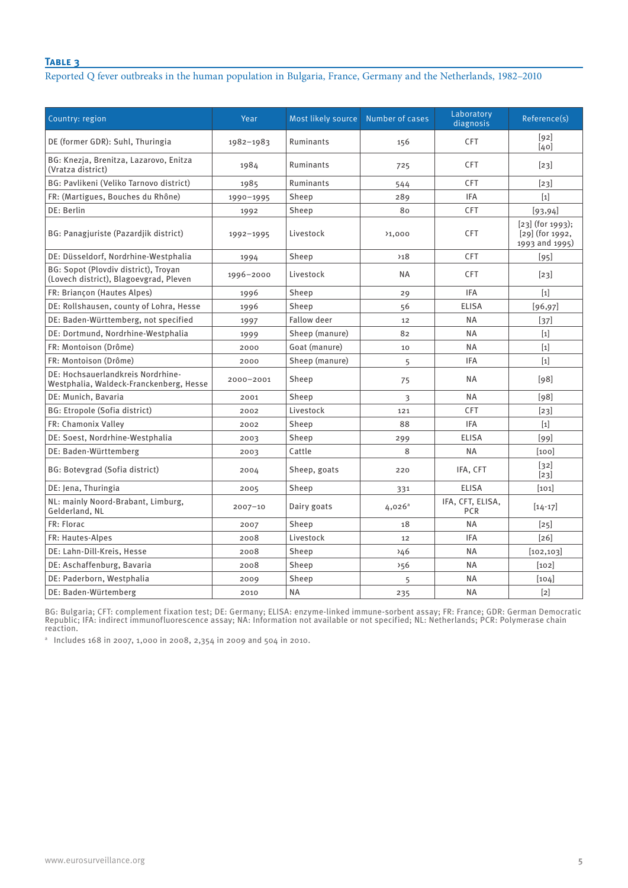#### **Table 3**

Reported Q fever outbreaks in the human population in Bulgaria, France, Germany and the Netherlands, 1982–2010

| Country: region                                                                | Year        | Most likely source | Number of cases | Laboratory<br>diagnosis        | Reference(s)                                              |
|--------------------------------------------------------------------------------|-------------|--------------------|-----------------|--------------------------------|-----------------------------------------------------------|
| DE (former GDR): Suhl, Thuringia                                               | 1982-1983   | Ruminants          | 156             | <b>CFT</b>                     | [92]<br>[40]                                              |
| BG: Knezja, Brenitza, Lazarovo, Enitza<br>(Vratza district)                    | 1984        | Ruminants          | 725             | <b>CFT</b>                     | $[23]$                                                    |
| BG: Pavlikeni (Veliko Tarnovo district)                                        | 1985        | Ruminants          | 544             | CFT                            | $[23]$                                                    |
| FR: (Martigues, Bouches du Rhône)                                              | 1990-1995   | Sheep              | 289             | <b>IFA</b>                     | $[1]$                                                     |
| DE: Berlin                                                                     | 1992        | Sheep              | 80              | <b>CFT</b>                     | [93, 94]                                                  |
| BG: Panagjuriste (Pazardjik district)                                          | 1992-1995   | Livestock          | 31,000          | <b>CFT</b>                     | $[23]$ (for 1993);<br>$[29]$ (for 1992,<br>1993 and 1995) |
| DE: Düsseldorf, Nordrhine-Westphalia                                           | 1994        | Sheep              | 218             | CFT                            | $[95]$                                                    |
| BG: Sopot (Plovdiv district), Troyan<br>(Lovech district), Blagoevgrad, Pleven | 1996-2000   | Livestock          | <b>NA</b>       | <b>CFT</b>                     | $[23]$                                                    |
| FR: Briançon (Hautes Alpes)                                                    | 1996        | Sheep              | 29              | <b>IFA</b>                     | $[1]$                                                     |
| DE: Rollshausen, county of Lohra, Hesse                                        | 1996        | Sheep              | 56              | <b>ELISA</b>                   | [96, 97]                                                  |
| DE: Baden-Württemberg, not specified                                           | 1997        | <b>Fallow deer</b> | 12              | <b>NA</b>                      | $[37]$                                                    |
| DE: Dortmund, Nordrhine-Westphalia                                             | 1999        | Sheep (manure)     | 82              | <b>NA</b>                      | $[1]$                                                     |
| FR: Montoison (Drôme)                                                          | 2000        | Goat (manure)      | 10              | <b>NA</b>                      | $[1]$                                                     |
| FR: Montoison (Drôme)                                                          | 2000        | Sheep (manure)     | 5               | <b>IFA</b>                     | $[1]$                                                     |
| DE: Hochsauerlandkreis Nordrhine-<br>Westphalia, Waldeck-Franckenberg, Hesse   | 2000-2001   | Sheep              | 75              | <b>NA</b>                      | [98]                                                      |
| DE: Munich, Bavaria                                                            | 2001        | Sheep              | 3               | NA                             | [98]                                                      |
| BG: Etropole (Sofia district)                                                  | 2002        | Livestock          | 121             | <b>CFT</b>                     | $[23]$                                                    |
| FR: Chamonix Valley                                                            | 2002        | Sheep              | 88              | <b>IFA</b>                     | $[1]$                                                     |
| DE: Soest, Nordrhine-Westphalia                                                | 2003        | Sheep              | 299             | <b>ELISA</b>                   | [99]                                                      |
| DE: Baden-Württemberg                                                          | 2003        | Cattle             | 8               | <b>NA</b>                      | [100]                                                     |
| BG: Botevgrad (Sofia district)                                                 | 2004        | Sheep, goats       | 220             | IFA, CFT                       | $[32]$<br>$[23]$                                          |
| DE: Jena, Thuringia                                                            | 2005        | Sheep              | 331             | <b>ELISA</b>                   | [101]                                                     |
| NL: mainly Noord-Brabant, Limburg,<br>Gelderland, NL                           | $2007 - 10$ | Dairy goats        | $4,026^a$       | IFA, CFT, ELISA,<br><b>PCR</b> | $[14 - 17]$                                               |
| FR: Florac                                                                     | 2007        | Sheep              | 18              | <b>NA</b>                      | $[25]$                                                    |
| FR: Hautes-Alpes                                                               | 2008        | Livestock          | 12              | <b>IFA</b>                     | $\lceil 26 \rceil$                                        |
| DE: Lahn-Dill-Kreis, Hesse                                                     | 2008        | Sheep              | 246             | <b>NA</b>                      | [102, 103]                                                |
| DE: Aschaffenburg, Bavaria                                                     | 2008        | Sheep              | 556             | <b>NA</b>                      | [102]                                                     |
| DE: Paderborn, Westphalia                                                      | 2009        | Sheep              | 5               | <b>NA</b>                      | [104]                                                     |
| DE: Baden-Würtemberg                                                           | 2010        | <b>NA</b>          | 235             | <b>NA</b>                      | $[2]$                                                     |

BG: Bulgaria; CFT: complement fixation test; DE: Germany; ELISA: enzyme-linked immune-sorbent assay; FR: France; GDR: German Democratic Republic; IFA: indirect immunofluorescence assay; NA: Information not available or not specified; NL: Netherlands; PCR: Polymerase chain reaction.

<sup>a</sup> Includes 168 in 2007, 1,000 in 2008, 2,354 in 2009 and 504 in 2010.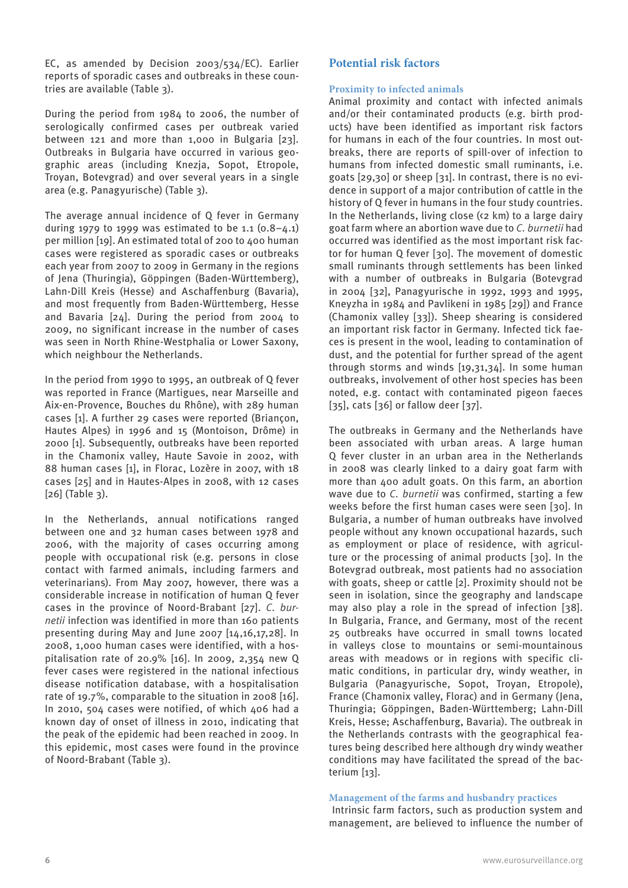EC, as amended by Decision 2003/534/EC). Earlier reports of sporadic cases and outbreaks in these countries are available (Table 3).

During the period from 1984 to 2006, the number of serologically confirmed cases per outbreak varied between 121 and more than 1,000 in Bulgaria [23]. Outbreaks in Bulgaria have occurred in various geographic areas (including Knezja, Sopot, Etropole, Troyan, Botevgrad) and over several years in a single area (e.g. Panagyurische) (Table 3).

The average annual incidence of Q fever in Germany during 1979 to 1999 was estimated to be 1.1  $(0.8-4.1)$ per million [19]. An estimated total of 200 to 400 human cases were registered as sporadic cases or outbreaks each year from 2007 to 2009 in Germany in the regions of Jena (Thuringia), Göppingen (Baden-Württemberg), Lahn-Dill Kreis (Hesse) and Aschaffenburg (Bavaria), and most frequently from Baden-Württemberg, Hesse and Bavaria [24]. During the period from 2004 to 2009, no significant increase in the number of cases was seen in North Rhine-Westphalia or Lower Saxony, which neighbour the Netherlands.

In the period from 1990 to 1995, an outbreak of Q fever was reported in France (Martigues, near Marseille and Aix-en-Provence, Bouches du Rhône), with 289 human cases [1]. A further 29 cases were reported (Briançon, Hautes Alpes) in 1996 and 15 (Montoison, Drôme) in 2000 [1]. Subsequently, outbreaks have been reported in the Chamonix valley, Haute Savoie in 2002, with 88 human cases [1], in Florac, Lozère in 2007, with 18 cases [25] and in Hautes-Alpes in 2008, with 12 cases  $[26]$  (Table 3).

In the Netherlands, annual notifications ranged between one and 32 human cases between 1978 and 2006, with the majority of cases occurring among people with occupational risk (e.g. persons in close contact with farmed animals, including farmers and veterinarians). From May 2007, however, there was a considerable increase in notification of human Q fever cases in the province of Noord-Brabant [27]. *C. burnetii* infection was identified in more than 160 patients presenting during May and June 2007 [14,16,17,28]. In 2008, 1,000 human cases were identified, with a hospitalisation rate of 20.9% [16]. In 2009, 2,354 new Q fever cases were registered in the national infectious disease notification database, with a hospitalisation rate of 19.7%, comparable to the situation in 2008 [16]. In 2010, 504 cases were notified, of which 406 had a known day of onset of illness in 2010, indicating that the peak of the epidemic had been reached in 2009. In this epidemic, most cases were found in the province of Noord-Brabant (Table 3).

## **Potential risk factors**

#### **Proximity to infected animals**

Animal proximity and contact with infected animals and/or their contaminated products (e.g. birth products) have been identified as important risk factors for humans in each of the four countries. In most outbreaks, there are reports of spill-over of infection to humans from infected domestic small ruminants, i.e. goats [29,30] or sheep [31]. In contrast, there is no evidence in support of a major contribution of cattle in the history of Q fever in humans in the four study countries. In the Netherlands, living close (<2 km) to a large dairy goat farm where an abortion wave due to *C. burnetii* had occurred was identified as the most important risk factor for human Q fever [30]. The movement of domestic small ruminants through settlements has been linked with a number of outbreaks in Bulgaria (Botevgrad in 2004 [32], Panagyurische in 1992, 1993 and 1995, Kneyzha in 1984 and Pavlikeni in 1985 [29]) and France (Chamonix valley [33]). Sheep shearing is considered an important risk factor in Germany. Infected tick faeces is present in the wool, leading to contamination of dust, and the potential for further spread of the agent through storms and winds [19,31,34]. In some human outbreaks, involvement of other host species has been noted, e.g. contact with contaminated pigeon faeces [35], cats [36] or fallow deer [37].

The outbreaks in Germany and the Netherlands have been associated with urban areas. A large human Q fever cluster in an urban area in the Netherlands in 2008 was clearly linked to a dairy goat farm with more than 400 adult goats. On this farm, an abortion wave due to *C. burnetii* was confirmed, starting a few weeks before the first human cases were seen [30]. In Bulgaria, a number of human outbreaks have involved people without any known occupational hazards, such as employment or place of residence, with agriculture or the processing of animal products [30]. In the Botevgrad outbreak, most patients had no association with goats, sheep or cattle [2]. Proximity should not be seen in isolation, since the geography and landscape may also play a role in the spread of infection [38]. In Bulgaria, France, and Germany, most of the recent 25 outbreaks have occurred in small towns located in valleys close to mountains or semi-mountainous areas with meadows or in regions with specific climatic conditions, in particular dry, windy weather, in Bulgaria (Panagyurische, Sopot, Troyan, Etropole), France (Chamonix valley, Florac) and in Germany (Jena, Thuringia; Göppingen, Baden-Württemberg; Lahn-Dill Kreis, Hesse; Aschaffenburg, Bavaria). The outbreak in the Netherlands contrasts with the geographical features being described here although dry windy weather conditions may have facilitated the spread of the bacterium [13].

#### **Management of the farms and husbandry practices**

 Intrinsic farm factors, such as production system and management, are believed to influence the number of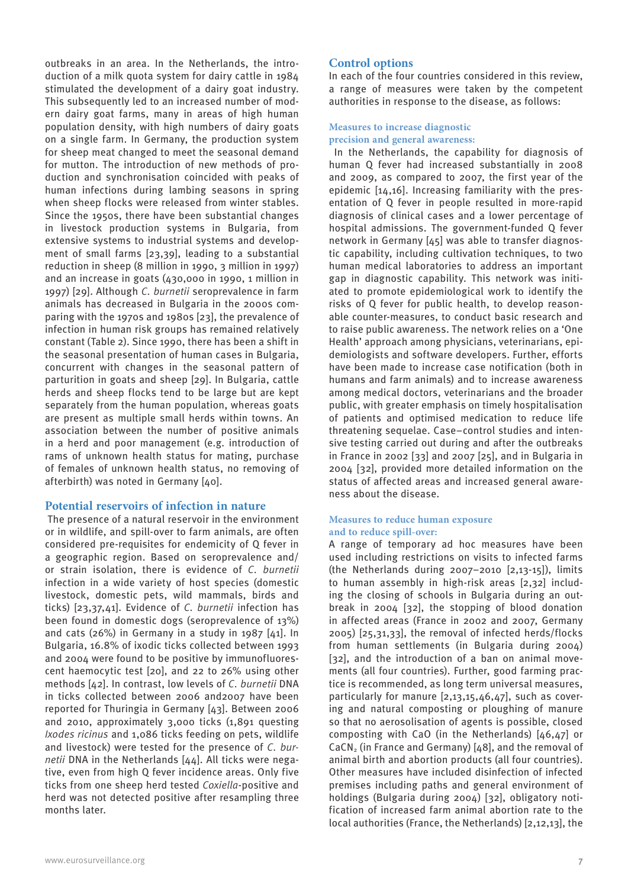outbreaks in an area. In the Netherlands, the introduction of a milk quota system for dairy cattle in 1984 stimulated the development of a dairy goat industry. This subsequently led to an increased number of modern dairy goat farms, many in areas of high human population density, with high numbers of dairy goats on a single farm. In Germany, the production system for sheep meat changed to meet the seasonal demand for mutton. The introduction of new methods of production and synchronisation coincided with peaks of human infections during lambing seasons in spring when sheep flocks were released from winter stables. Since the 1950s, there have been substantial changes in livestock production systems in Bulgaria, from extensive systems to industrial systems and development of small farms [23,39], leading to a substantial reduction in sheep (8 million in 1990, 3 million in 1997) and an increase in goats (430,000 in 1990, 1 million in 1997) [29]. Although *C. burnetii* seroprevalence in farm animals has decreased in Bulgaria in the 2000s comparing with the 1970s and 1980s [23], the prevalence of infection in human risk groups has remained relatively constant (Table 2). Since 1990, there has been a shift in the seasonal presentation of human cases in Bulgaria, concurrent with changes in the seasonal pattern of parturition in goats and sheep [29]. In Bulgaria, cattle herds and sheep flocks tend to be large but are kept separately from the human population, whereas goats are present as multiple small herds within towns. An association between the number of positive animals in a herd and poor management (e.g. introduction of rams of unknown health status for mating, purchase of females of unknown health status, no removing of afterbirth) was noted in Germany [40].

#### **Potential reservoirs of infection in nature**

 The presence of a natural reservoir in the environment or in wildlife, and spill-over to farm animals, are often considered pre-requisites for endemicity of Q fever in a geographic region. Based on seroprevalence and/ or strain isolation, there is evidence of *C. burnetii* infection in a wide variety of host species (domestic livestock, domestic pets, wild mammals, birds and ticks) [23,37,41]. Evidence of *C. burnetii* infection has been found in domestic dogs (seroprevalence of 13%) and cats (26%) in Germany in a study in 1987 [41]. In Bulgaria, 16.8% of ixodic ticks collected between 1993 and 2004 were found to be positive by immunofluorescent haemocytic test [20], and 22 to 26% using other methods [42]. In contrast, low levels of *C. burnetii* DNA in ticks collected between 2006 and2007 have been reported for Thuringia in Germany [43]. Between 2006 and 2010, approximately 3,000 ticks (1,891 questing *Ixodes ricinus* and 1,086 ticks feeding on pets, wildlife and livestock) were tested for the presence of *C. burnetii* DNA in the Netherlands [44]. All ticks were negative, even from high Q fever incidence areas. Only five ticks from one sheep herd tested *Coxiella*-positive and herd was not detected positive after resampling three months later.

#### **Control options**

In each of the four countries considered in this review, a range of measures were taken by the competent authorities in response to the disease, as follows:

#### **Measures to increase diagnostic precision and general awareness:**

 In the Netherlands, the capability for diagnosis of human Q fever had increased substantially in 2008 and 2009, as compared to 2007, the first year of the epidemic [14,16]. Increasing familiarity with the presentation of Q fever in people resulted in more-rapid diagnosis of clinical cases and a lower percentage of hospital admissions. The government-funded Q fever network in Germany [45] was able to transfer diagnostic capability, including cultivation techniques, to two human medical laboratories to address an important gap in diagnostic capability. This network was initiated to promote epidemiological work to identify the risks of Q fever for public health, to develop reasonable counter-measures, to conduct basic research and to raise public awareness. The network relies on a 'One Health' approach among physicians, veterinarians, epidemiologists and software developers. Further, efforts have been made to increase case notification (both in humans and farm animals) and to increase awareness among medical doctors, veterinarians and the broader public, with greater emphasis on timely hospitalisation of patients and optimised medication to reduce life threatening sequelae. Case–control studies and intensive testing carried out during and after the outbreaks in France in 2002 [33] and 2007 [25], and in Bulgaria in 2004 [32], provided more detailed information on the status of affected areas and increased general awareness about the disease.

#### **Measures to reduce human exposure and to reduce spill-over:**

A range of temporary ad hoc measures have been used including restrictions on visits to infected farms (the Netherlands during 2007–2010 [2,13-15]), limits to human assembly in high-risk areas [2,32] including the closing of schools in Bulgaria during an outbreak in 2004 [32], the stopping of blood donation in affected areas (France in 2002 and 2007, Germany 2005) [25,31,33], the removal of infected herds/flocks from human settlements (in Bulgaria during 2004) [32], and the introduction of a ban on animal movements (all four countries). Further, good farming practice is recommended, as long term universal measures, particularly for manure [2,13,15,46,47], such as covering and natural composting or ploughing of manure so that no aerosolisation of agents is possible, closed composting with CaO (in the Netherlands) [46,47] or  $CaCN<sub>2</sub>$  (in France and Germany) [48], and the removal of animal birth and abortion products (all four countries). Other measures have included disinfection of infected premises including paths and general environment of holdings (Bulgaria during 2004) [32], obligatory notification of increased farm animal abortion rate to the local authorities (France, the Netherlands) [2,12,13], the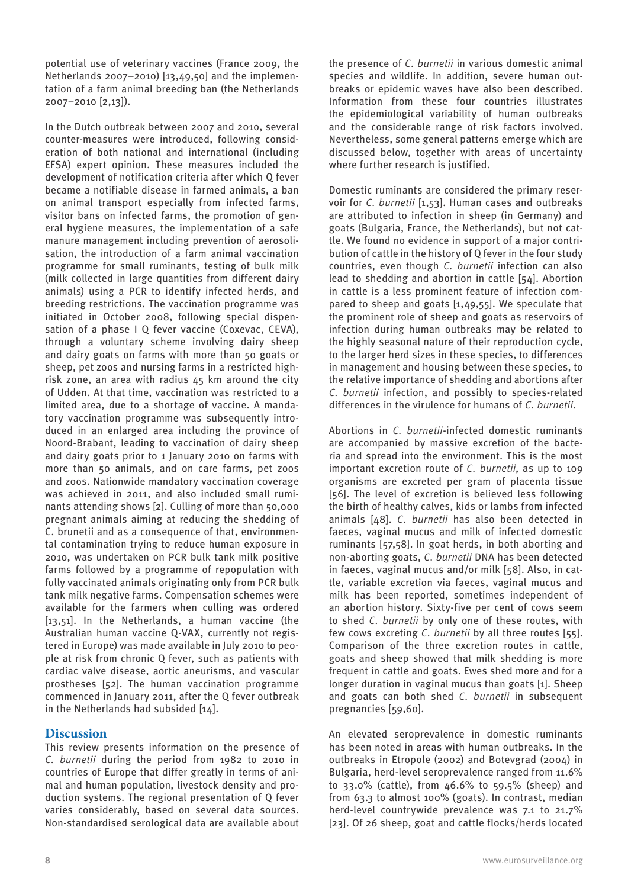potential use of veterinary vaccines (France 2009, the Netherlands 2007–2010) [13,49,50] and the implementation of a farm animal breeding ban (the Netherlands 2007–2010 [2,13]).

In the Dutch outbreak between 2007 and 2010, several counter-measures were introduced, following consideration of both national and international (including EFSA) expert opinion. These measures included the development of notification criteria after which Q fever became a notifiable disease in farmed animals, a ban on animal transport especially from infected farms, visitor bans on infected farms, the promotion of general hygiene measures, the implementation of a safe manure management including prevention of aerosolisation, the introduction of a farm animal vaccination programme for small ruminants, testing of bulk milk (milk collected in large quantities from different dairy animals) using a PCR to identify infected herds, and breeding restrictions. The vaccination programme was initiated in October 2008, following special dispensation of a phase I Q fever vaccine (Coxevac, CEVA), through a voluntary scheme involving dairy sheep and dairy goats on farms with more than 50 goats or sheep, pet zoos and nursing farms in a restricted highrisk zone, an area with radius 45 km around the city of Udden. At that time, vaccination was restricted to a limited area, due to a shortage of vaccine. A mandatory vaccination programme was subsequently introduced in an enlarged area including the province of Noord-Brabant, leading to vaccination of dairy sheep and dairy goats prior to 1 January 2010 on farms with more than 50 animals, and on care farms, pet zoos and zoos. Nationwide mandatory vaccination coverage was achieved in 2011, and also included small ruminants attending shows [2]. Culling of more than 50,000 pregnant animals aiming at reducing the shedding of C. brunetii and as a consequence of that, environmental contamination trying to reduce human exposure in 2010, was undertaken on PCR bulk tank milk positive farms followed by a programme of repopulation with fully vaccinated animals originating only from PCR bulk tank milk negative farms. Compensation schemes were available for the farmers when culling was ordered [13,51]. In the Netherlands, a human vaccine (the Australian human vaccine Q-VAX, currently not registered in Europe) was made available in July 2010 to people at risk from chronic Q fever, such as patients with cardiac valve disease, aortic aneurisms, and vascular prostheses [52]. The human vaccination programme commenced in January 2011, after the Q fever outbreak in the Netherlands had subsided [14].

## **Discussion**

This review presents information on the presence of *C. burnetii* during the period from 1982 to 2010 in countries of Europe that differ greatly in terms of animal and human population, livestock density and production systems. The regional presentation of Q fever varies considerably, based on several data sources. Non-standardised serological data are available about the presence of *C. burnetii* in various domestic animal species and wildlife. In addition, severe human outbreaks or epidemic waves have also been described. Information from these four countries illustrates the epidemiological variability of human outbreaks and the considerable range of risk factors involved. Nevertheless, some general patterns emerge which are discussed below, together with areas of uncertainty where further research is justified.

Domestic ruminants are considered the primary reservoir for *C. burnetii* [1,53]. Human cases and outbreaks are attributed to infection in sheep (in Germany) and goats (Bulgaria, France, the Netherlands), but not cattle. We found no evidence in support of a major contribution of cattle in the history of Q fever in the four study countries, even though *C. burnetii* infection can also lead to shedding and abortion in cattle [54]. Abortion in cattle is a less prominent feature of infection compared to sheep and goats [1,49,55]. We speculate that the prominent role of sheep and goats as reservoirs of infection during human outbreaks may be related to the highly seasonal nature of their reproduction cycle, to the larger herd sizes in these species, to differences in management and housing between these species, to the relative importance of shedding and abortions after *C. burnetii* infection, and possibly to species-related differences in the virulence for humans of *C. burnetii*.

Abortions in *C. burnetii*-infected domestic ruminants are accompanied by massive excretion of the bacteria and spread into the environment. This is the most important excretion route of *C. burnetii*, as up to 109 organisms are excreted per gram of placenta tissue [56]. The level of excretion is believed less following the birth of healthy calves, kids or lambs from infected animals [48]. *C. burnetii* has also been detected in faeces, vaginal mucus and milk of infected domestic ruminants [57,58]. In goat herds, in both aborting and non-aborting goats, *C. burnetii* DNA has been detected in faeces, vaginal mucus and/or milk [58]. Also, in cattle, variable excretion via faeces, vaginal mucus and milk has been reported, sometimes independent of an abortion history. Sixty-five per cent of cows seem to shed *C. burnetii* by only one of these routes, with few cows excreting *C. burnetii* by all three routes [55]. Comparison of the three excretion routes in cattle, goats and sheep showed that milk shedding is more frequent in cattle and goats. Ewes shed more and for a longer duration in vaginal mucus than goats [1]. Sheep and goats can both shed *C. burnetii* in subsequent pregnancies [59,60].

An elevated seroprevalence in domestic ruminants has been noted in areas with human outbreaks. In the outbreaks in Etropole (2002) and Botevgrad (2004) in Bulgaria, herd-level seroprevalence ranged from 11.6% to 33.0% (cattle), from 46.6% to 59.5% (sheep) and from 63.3 to almost 100% (goats). In contrast, median herd-level countrywide prevalence was 7.1 to 21.7% [23]. Of 26 sheep, goat and cattle flocks/herds located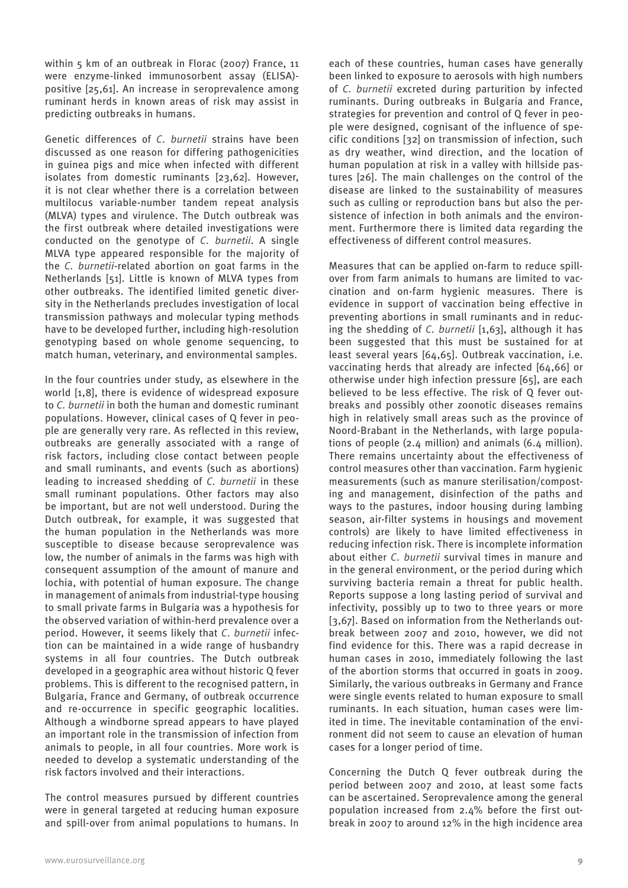within 5 km of an outbreak in Florac (2007) France, 11 were enzyme-linked immunosorbent assay (ELISA) positive [25,61]. An increase in seroprevalence among ruminant herds in known areas of risk may assist in predicting outbreaks in humans.

Genetic differences of *C. burnetii* strains have been discussed as one reason for differing pathogenicities in guinea pigs and mice when infected with different isolates from domestic ruminants [23,62]. However, it is not clear whether there is a correlation between multilocus variable-number tandem repeat analysis (MLVA) types and virulence. The Dutch outbreak was the first outbreak where detailed investigations were conducted on the genotype of *C. burnetii*. A single MLVA type appeared responsible for the majority of the *C. burnetii*-related abortion on goat farms in the Netherlands [51]. Little is known of MLVA types from other outbreaks. The identified limited genetic diversity in the Netherlands precludes investigation of local transmission pathways and molecular typing methods have to be developed further, including high-resolution genotyping based on whole genome sequencing, to match human, veterinary, and environmental samples.

In the four countries under study, as elsewhere in the world [1,8], there is evidence of widespread exposure to *C. burnetii* in both the human and domestic ruminant populations. However, clinical cases of Q fever in people are generally very rare. As reflected in this review, outbreaks are generally associated with a range of risk factors, including close contact between people and small ruminants, and events (such as abortions) leading to increased shedding of *C. burnetii* in these small ruminant populations. Other factors may also be important, but are not well understood. During the Dutch outbreak, for example, it was suggested that the human population in the Netherlands was more susceptible to disease because seroprevalence was low, the number of animals in the farms was high with consequent assumption of the amount of manure and lochia, with potential of human exposure. The change in management of animals from industrial-type housing to small private farms in Bulgaria was a hypothesis for the observed variation of within-herd prevalence over a period. However, it seems likely that *C. burnetii* infection can be maintained in a wide range of husbandry systems in all four countries. The Dutch outbreak developed in a geographic area without historic Q fever problems. This is different to the recognised pattern, in Bulgaria, France and Germany, of outbreak occurrence and re-occurrence in specific geographic localities. Although a windborne spread appears to have played an important role in the transmission of infection from animals to people, in all four countries. More work is needed to develop a systematic understanding of the risk factors involved and their interactions.

The control measures pursued by different countries were in general targeted at reducing human exposure and spill-over from animal populations to humans. In

each of these countries, human cases have generally been linked to exposure to aerosols with high numbers of *C. burnetii* excreted during parturition by infected ruminants. During outbreaks in Bulgaria and France, strategies for prevention and control of Q fever in people were designed, cognisant of the influence of specific conditions [32] on transmission of infection, such as dry weather, wind direction, and the location of human population at risk in a valley with hillside pastures [26]. The main challenges on the control of the disease are linked to the sustainability of measures such as culling or reproduction bans but also the persistence of infection in both animals and the environment. Furthermore there is limited data regarding the effectiveness of different control measures.

Measures that can be applied on-farm to reduce spillover from farm animals to humans are limited to vaccination and on-farm hygienic measures. There is evidence in support of vaccination being effective in preventing abortions in small ruminants and in reducing the shedding of *C. burnetii* [1,63], although it has been suggested that this must be sustained for at least several years [64,65]. Outbreak vaccination, i.e. vaccinating herds that already are infected [64,66] or otherwise under high infection pressure [65], are each believed to be less effective. The risk of Q fever outbreaks and possibly other zoonotic diseases remains high in relatively small areas such as the province of Noord-Brabant in the Netherlands, with large populations of people (2.4 million) and animals (6.4 million). There remains uncertainty about the effectiveness of control measures other than vaccination. Farm hygienic measurements (such as manure sterilisation/composting and management, disinfection of the paths and ways to the pastures, indoor housing during lambing season, air-filter systems in housings and movement controls) are likely to have limited effectiveness in reducing infection risk. There is incomplete information about either *C. burnetii* survival times in manure and in the general environment, or the period during which surviving bacteria remain a threat for public health. Reports suppose a long lasting period of survival and infectivity, possibly up to two to three years or more [3,67]. Based on information from the Netherlands outbreak between 2007 and 2010, however, we did not find evidence for this. There was a rapid decrease in human cases in 2010, immediately following the last of the abortion storms that occurred in goats in 2009. Similarly, the various outbreaks in Germany and France were single events related to human exposure to small ruminants. In each situation, human cases were limited in time. The inevitable contamination of the environment did not seem to cause an elevation of human cases for a longer period of time.

Concerning the Dutch Q fever outbreak during the period between 2007 and 2010, at least some facts can be ascertained. Seroprevalence among the general population increased from 2.4% before the first outbreak in 2007 to around 12% in the high incidence area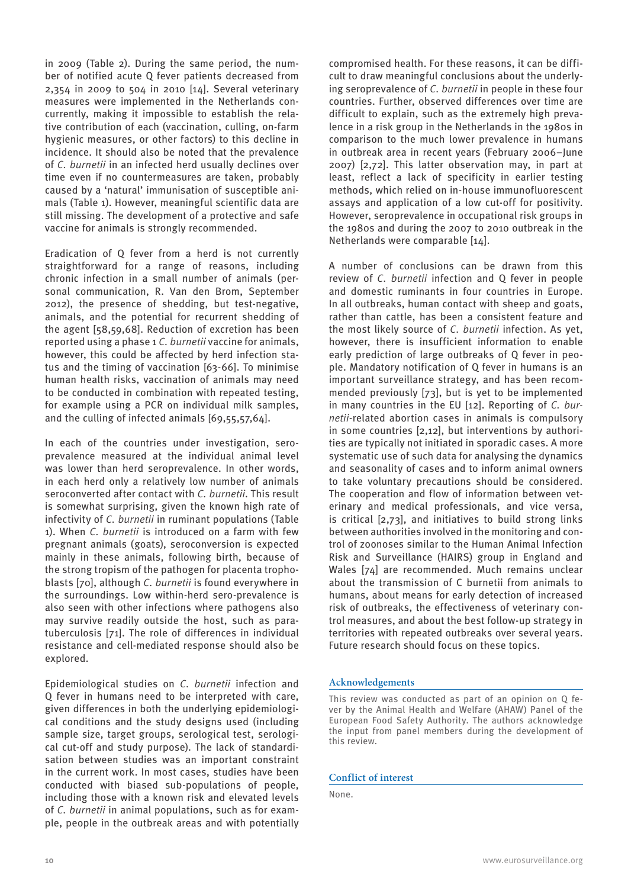in 2009 (Table 2). During the same period, the number of notified acute Q fever patients decreased from 2,354 in 2009 to 504 in 2010 [14]. Several veterinary measures were implemented in the Netherlands concurrently, making it impossible to establish the relative contribution of each (vaccination, culling, on-farm hygienic measures, or other factors) to this decline in incidence. It should also be noted that the prevalence of *C. burnetii* in an infected herd usually declines over time even if no countermeasures are taken, probably caused by a 'natural' immunisation of susceptible animals (Table 1). However, meaningful scientific data are still missing. The development of a protective and safe vaccine for animals is strongly recommended.

Eradication of Q fever from a herd is not currently straightforward for a range of reasons, including chronic infection in a small number of animals (personal communication, R. Van den Brom, September 2012), the presence of shedding, but test-negative, animals, and the potential for recurrent shedding of the agent [58,59,68]. Reduction of excretion has been reported using a phase 1 *C. burnetii* vaccine for animals, however, this could be affected by herd infection status and the timing of vaccination [63-66]. To minimise human health risks, vaccination of animals may need to be conducted in combination with repeated testing, for example using a PCR on individual milk samples, and the culling of infected animals [69,55,57,64].

In each of the countries under investigation, seroprevalence measured at the individual animal level was lower than herd seroprevalence. In other words, in each herd only a relatively low number of animals seroconverted after contact with *C. burnetii*. This result is somewhat surprising, given the known high rate of infectivity of *C. burnetii* in ruminant populations (Table 1). When *C. burnetii* is introduced on a farm with few pregnant animals (goats), seroconversion is expected mainly in these animals, following birth, because of the strong tropism of the pathogen for placenta trophoblasts [70], although *C. burnetii* is found everywhere in the surroundings. Low within-herd sero-prevalence is also seen with other infections where pathogens also may survive readily outside the host, such as paratuberculosis [71]. The role of differences in individual resistance and cell-mediated response should also be explored.

Epidemiological studies on *C. burnetii* infection and Q fever in humans need to be interpreted with care, given differences in both the underlying epidemiological conditions and the study designs used (including sample size, target groups, serological test, serological cut-off and study purpose). The lack of standardisation between studies was an important constraint in the current work. In most cases, studies have been conducted with biased sub-populations of people, including those with a known risk and elevated levels of *C. burnetii* in animal populations, such as for example, people in the outbreak areas and with potentially compromised health. For these reasons, it can be difficult to draw meaningful conclusions about the underlying seroprevalence of *C. burnetii* in people in these four countries. Further, observed differences over time are difficult to explain, such as the extremely high prevalence in a risk group in the Netherlands in the 1980s in comparison to the much lower prevalence in humans in outbreak area in recent years (February 2006–June 2007) [2,72]. This latter observation may, in part at least, reflect a lack of specificity in earlier testing methods, which relied on in-house immunofluorescent assays and application of a low cut-off for positivity. However, seroprevalence in occupational risk groups in the 1980s and during the 2007 to 2010 outbreak in the Netherlands were comparable [14].

A number of conclusions can be drawn from this review of *C. burnetii* infection and Q fever in people and domestic ruminants in four countries in Europe. In all outbreaks, human contact with sheep and goats, rather than cattle, has been a consistent feature and the most likely source of *C. burnetii* infection. As yet, however, there is insufficient information to enable early prediction of large outbreaks of Q fever in people. Mandatory notification of Q fever in humans is an important surveillance strategy, and has been recommended previously [73], but is yet to be implemented in many countries in the EU [12]. Reporting of *C. burnetii*-related abortion cases in animals is compulsory in some countries [2,12], but interventions by authorities are typically not initiated in sporadic cases. A more systematic use of such data for analysing the dynamics and seasonality of cases and to inform animal owners to take voluntary precautions should be considered. The cooperation and flow of information between veterinary and medical professionals, and vice versa, is critical [2,73], and initiatives to build strong links between authorities involved in the monitoring and control of zoonoses similar to the Human Animal Infection Risk and Surveillance (HAIRS) group in England and Wales [74] are recommended. Much remains unclear about the transmission of C burnetii from animals to humans, about means for early detection of increased risk of outbreaks, the effectiveness of veterinary control measures, and about the best follow-up strategy in territories with repeated outbreaks over several years. Future research should focus on these topics.

#### **Acknowledgements**

This review was conducted as part of an opinion on Q fever by the Animal Health and Welfare (AHAW) Panel of the European Food Safety Authority. The authors acknowledge the input from panel members during the development of this review.

#### **Conflict of interest**

None.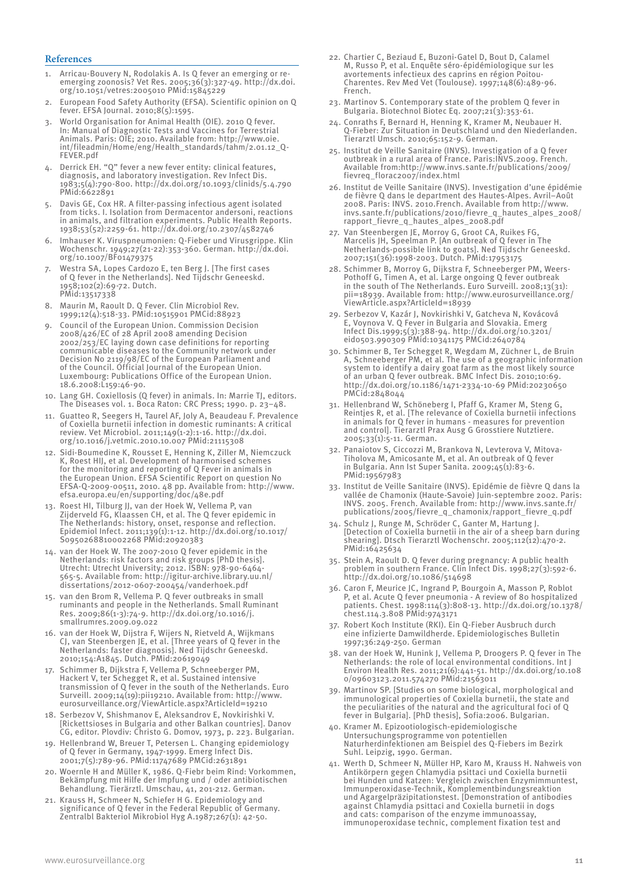#### **References**

- Arricau-Bouvery N, Rodolakis A. Is Q fever an emerging or reemerging zoonosis? Vet Res. 2005;36(3):327-49. http://dx.doi. org/10.1051/vetres:2005010 PMid:15845229
- 2. European Food Safety Authority (EFSA). Scientific opinion on Q fever. EFSA Journal. 2010;8(5):1595.
- 3. World Organisation for Animal Health (OIE). 2010 Q fever. In: Manual of Diagnostic Tests and Vaccines for Terrestrial Animals. Paris: OIE; 2010. Available from: http://www.oie. int/fileadmin/Home/eng/Health\_standards/tahm/2.01.12\_Q-FEVER.pdf
- 4. Derrick EH. "Q" fever a new fever entity: clinical features, diagnosis, and laboratory investigation. Rev Infect Dis. 1983;5(4):790-800. http://dx.doi.org/10.1093/clinids/5.4.790 PMid:6622891
- 5. Davis GE, Cox HR. A filter-passing infectious agent isolated from ticks. I. Isolation from Dermacentor andersoni, reactions in animals, and filtration experiments. Public Health Reports. 1938;53(52):2259-61. http://dx.doi.org/10.2307/4582746
- 6. Imhauser K. Viruspneumonien: Q-Fieber und Virusgrippe. Klin Wochenschr. 1949;27(21-22):353-360. German. http://dx.doi. org/10.1007/BF01479375
- 7. Westra SA, Lopes Cardozo E, ten Berg J. [The first cases of Q fever in the Netherlands]. Ned Tijdschr Geneeskd. 1958;102(2):69-72. Dutch. PMid:13517338
- 8. Maurin M, Raoult D. Q Fever. Clin Microbiol Rev. 1999;12(4):518-33. PMid:10515901 PMCid:88923
- 9. Council of the European Union. Commission Decision 2008/426/EC of 28 April 2008 amending Decision 2002/253/EC laying down case definitions for reporting communicable diseases to the Community network under Decision No 2119/98/EC of the European Parliament and of the Council. Official Journal of the European Union. Luxembourg: Publications Office of the European Union. 18.6.2008:L159:46-90.
- 10. Lang GH. Coxiellosis (Q fever) in animals. In: Marrie TJ, editors. The Diseases vol. 1. Boca Raton: CRC Press; 1990. p. 23–48.
- 11. Guatteo R, Seegers H, Taurel AF, Joly A, Beaudeau F. Prevalence of Coxiella burnetii infection in domestic ruminants: A critical review. Vet Microbiol. 2011;149(1-2):1-16. http://dx.doi. org/10.1016/j.vetmic.2010.10.007 PMid:21115308
- 12. Sidi-Boumedine K, Rousset E, Henning K, Ziller M, Niemczuck K, Roest HIJ, et al. Development of harmonised schemes for the monitoring and reporting of Q Fever in animals in the European Union. EFSA Scientific Report on question No EFSA-Q-2009-00511, 2010. 48 pp. Available from: http://www. efsa.europa.eu/en/supporting/doc/48e.pdf
- 13. Roest HI, Tilburg JJ, van der Hoek W, Vellema P, van Zijderveld FG, Klaassen CH, et al. The Q fever epidemic in The Netherlands: history, onset, response and reflection. Epidemiol Infect. 2011;139(1):1-12. http://dx.doi.org/10.1017/ S0950268810002268 PMid:20920383
- 14. van der Hoek W. The 2007-2010 Q fever epidemic in the Netherlands: risk factors and risk groups [PhD thesis]. Utrecht: Utrecht University; 2012. ISBN: 978-90-6464- 565-5. Available from: http://igitur-archive.library.uu.nl/ dissertations/2012-0607-200454/vanderhoek.pdf
- 15. van den Brom R, Vellema P. Q fever outbreaks in small ruminants and people in the Netherlands. Small Ruminant Res. 2009;86(1-3):74-9. http://dx.doi.org/10.1016/j. smallrumres.2009.09.022
- 16. van der Hoek W, Dijstra F, Wijers N, Rietveld A, Wijkmans CJ, van Steenbergen JE, et al. [Three years of Q fever in the Netherlands: faster diagnosis]. Ned Tijdschr Geneeskd. 2010;154:A1845. Dutch. PMid:20619049
- 17. Schimmer B, Dijkstra F, Vellema P, Schneeberger PM, Hackert V, ter Schegget R, et al. Sustained intensive transmission of Q fever in the south of the Netherlands. Euro Surveill. 2009;14(19):pii19210. Available from: http://www. eurosurveillance.org/ViewArticle.aspx?ArticleId=19210
- 18. Serbezov V, Shishmanov E, Aleksandrov E, Novkirishki V. [Rickettsioses in Bulgaria and other Balkan countries]. Danov CG, editor. Plovdiv: Christo G. Domov, 1973, p. 223. Bulgarian.
- 19. Hellenbrand W, Breuer T, Petersen L. Changing epidemiology of Q fever in Germany, 1947-1999. Emerg Infect Dis. 2001;7(5):789-96. PMid:11747689 PMCid:2631891
- 20. Woernle H and Müller K, 1986. Q-Fiebr beim Rind: Vorkommen, Bekämpfung mit Hilfe der Impfung und / oder antibiotischen Behandlung. Tierärztl. Umschau, 41, 201-212. German.
- 21. Krauss H, Schmeer N, Schiefer H G. Epidemiology and significance of Q fever in the Federal Republic of Germany. Zentralbl Bakteriol Mikrobiol Hyg A.1987;267(1): 42-50.
- 22. Chartier C, Beziaud E, Buzoni-Gatel D, Bout D, Calamel M, Russo P, et al. Enquête séro-épidémiologique sur les avortements infectieux des caprins en région Poitou-Charentes. Rev Med Vet (Toulouse). 1997;148(6):489-96. French.
- 23. Martinov S. Contemporary state of the problem Q fever in Bulgaria. Biotechnol Biotec Eq. 2007;21(3):353-61.
- 24. Conraths F, Bernard H, Henning K, Kramer M, Neubauer H. Q-Fieber: Zur Situation in Deutschland und den Niederlanden. Tierarztl Umsch. 2010;65:152-9. German.
- 25. Institut de Veille Sanitaire (INVS). Investigation of a Q fever outbreak in a rural area of France. Paris:INVS.2009. French. Available from:http://www.invs.sante.fr/publications/2009/ fievreq\_florac2007/index.html
- 26. Institut de Veille Sanitaire (INVS). Investigation d'une épidémie de fièvre Q dans le department des Hautes-Alpes. Avril–Août 2008. Paris: INVS. 2010.French. Available from http://www. invs.sante.fr/publications/2010/fievre\_q\_hautes\_alpes\_2008/ rapport\_fievre\_q\_hautes\_alpes\_2008.pdf
- 27. Van Steenbergen JE, Morroy G, Groot CA, Ruikes FG, Marcelis JH, Speelman P. [An outbreak of Q fever in The Netherlands-possible link to goats]. Ned Tijdschr Geneeskd. 2007;151(36):1998-2003. Dutch. PMid:17953175
- 28. Schimmer B, Morroy G, Dijkstra F, Schneeberger PM, Weers-Pothoff G, Timen A, et al. Large ongoing Q fever outbreak in the south of The Netherlands. Euro Surveill. 2008;13(31): pii=18939. Available from: http://www.eurosurveillance.org/ ViewArticle.aspx?ArticleId=18939
- 29. Serbezov V, Kazár J, Novkirishki V, Gatcheva N, Kovácová E, Voynova V. Q Fever in Bulgaria and Slovakia. Emerg Infect Dis.1999;5(3):388-94. http://dx.doi.org/10.3201/ eid0503.990309 PMid:10341175 PMCid:2640784
- 30. Schimmer B, Ter Schegget R, Wegdam M, Züchner L, de Bruin A, Schneeberger PM, et al. The use of a geographic information system to identify a dairy goat farm as the most likely source of an urban Q fever outbreak. BMC Infect Dis. 2010;10:69. http://dx.doi.org/10.1186/1471-2334-10-69 PMid:20230650 PMCid:2848044
- 31. Hellenbrand W, Schöneberg I, Pfaff G, Kramer M, Steng G, Reintjes R, et al. [The relevance of Coxiella burnetii infections in animals for Q fever in humans - measures for prevention and control]. Tierarztl Prax Ausg G Grosstiere Nutztiere. 2005;33(1):5-11. German.
- 32. Panaiotov S, Ciccozzi M, Brankova N, Levterova V, Mitova-Tiholova M, Amicosante M, et al. An outbreak of Q fever in Bulgaria. Ann Ist Super Sanita. 2009;45(1):83-6. PMid:19567983
- 33. Institut de Veille Sanitaire (INVS). Epidémie de fièvre Q dans la vallée de Chamonix (Haute-Savoie) Juin-septembre 2002. Paris: INVS. 2005. French. Available from: http://www.invs.sante.fr/ publications/2005/fievre\_q\_chamonix/rapport\_fievre\_q.pdf
- 34. Schulz J, Runge M, Schröder C, Ganter M, Hartung J. [Detection of Coxiella burnetii in the air of a sheep barn during shearing]. Dtsch Tierarztl Wochenschr. 2005;112(12):470-2. PMid:16425634
- 35. Stein A, Raoult D. Q fever during pregnancy: A public health problem in southern France. Clin Infect Dis. 1998;27(3):592-6. http://dx.doi.org/10.1086/514698
- 36. Caron F, Meurice JC, Ingrand P, Bourgoin A, Masson P, Roblot P, et al. Acute Q fever pneumonia - A review of 80 hospitalized patients. Chest. 1998:114(3):808-13. http://dx.doi.org/10.1378/ chest.114.3.808 PMid:9743171
- 37. Robert Koch Institute (RKI). Ein Q-Fieber Ausbruch durch eine infizierte Damwildherde. Epidemiologisches Bulletin 1997;36:249-250. German
- 38. van der Hoek W, Hunink J, Vellema P, Droogers P. Q fever in The Netherlands: the role of local environmental conditions. Int J Environ Health Res. 2011;21(6):441-51. http://dx.doi.org/10.108 0/09603123.2011.574270 PMid:21563011
- 39. Martinov SP. [Studies on some biological, morphological and immunological properties of Coxiella burnetii, the state and the peculiarities of the natural and the agricultural foci of Q fever in Bulgaria]. [PhD thesis], Sofia:2006. Bulgarian.
- 40. Kramer M. Epizootiologisch-epidemiologische Untersuchungsprogramme von potentiellen Naturherdinfektionen am Beispiel des Q-Fiebers im Bezirk Suhl. Leipzig, 1990. German.
- 41. Werth D, Schmeer N, Müller HP, Karo M, Krauss H. Nahweis von Antikörpern gegen Chlamydia psittaci und Coxiella burnetii bei Hunden und Katzen: Vergleich zwischen Enzymimmuntest, Immunperoxidase-Technik, Komplementbindungsreaktion und Agargelpräzipitationstest. [Demonstration of antibodies against Chlamydia psittaci and Coxiella burnetii in dogs and cats: comparison of the enzyme immunoassay, immunoperoxidase technic, complement fixation test and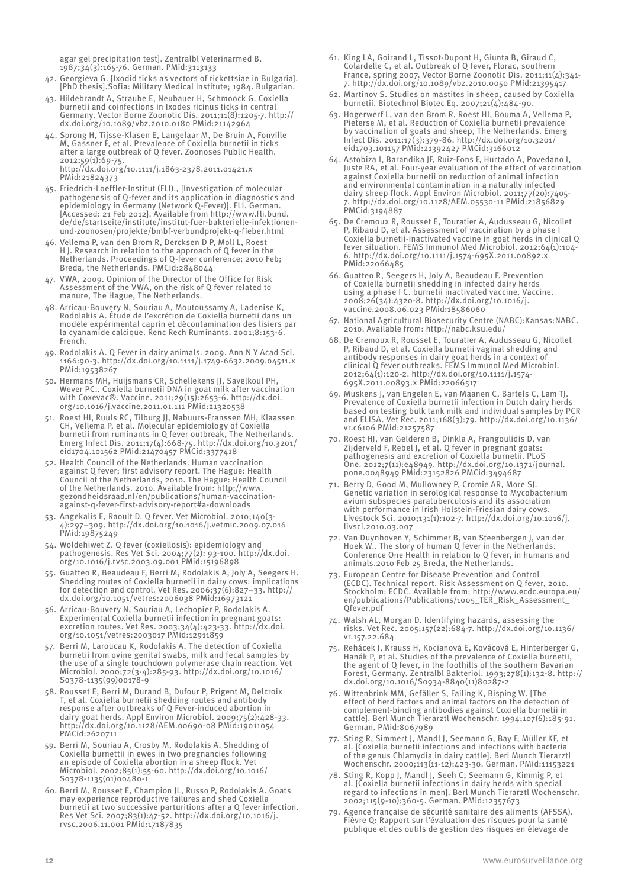agar gel precipitation test]. Zentralbl Veterinarmed B. 1987;34(3):165-76. German. PMid:3113133

- 42. Georgieva G. [Ixodid ticks as vectors of rickettsiae in Bulgaria]. [PhD thesis].Sofia: Military Medical Institute; 1984. Bulgarian.
- 43. Hildebrandt A, Straube E, Neubauer H, Schmoock G. Coxiella burnetii and coinfections in Ixodes ricinus ticks in central Germany. Vector Borne Zoonotic Dis. 2011;11(8):1205-7. http:// dx.doi.org/10.1089/vbz.2010.0180 PMid:21142964
- 44. Sprong H, Tijsse-Klasen E, Langelaar M, De Bruin A, Fonville M, Gassner F, et al. Prevalence of Coxiella burnetii in ticks after a large outbreak of Q fever. Zoonoses Public Health. 2012;59(1):69-75. http://dx.doi.org/10.1111/j.1863-2378.2011.01421.x

PMid:21824373 45. Friedrich-Loeffler-Institut (FLI)., [Investigation of molecular pathogenesis of Q-fever and its application in diagnostics and

- epidemiology in Germany (Network Q-Fever)]. FLI. German. [Accessed: 21 Feb 2012]. Available from http://www.fli.bund. de/de/startseite/institute/institut-fuer-bakterielle-infektionenund-zoonosen/projekte/bmbf-verbundprojekt-q-fieber.html
- 46. Vellema P, van den Brom R, Dercksen D P, Moll L, Roest H J. Research in relation to the approach of Q fever in the Netherlands. Proceedings of Q-fever conference; 2010 Feb; Breda, the Netherlands. PMCid:2848044
- 47. VWA, 2009. Opinion of the Director of the Office for Risk Assessment of the VWA, on the risk of Q fever related to manure, The Hague, The Netherlands.
- 48. Arricau-Bouvery N, Souriau A, Moutoussamy A, Ladenise K, Rodolakis A. Étude de l'excrétion de Coxiella burnetii dans un modèle expérimental caprin et décontamination des lisiers par la cyanamide calcique. Renc Rech Ruminants. 2001;8:153-6. French.
- 49. Rodolakis A. Q Fever in dairy animals. 2009. Ann N Y Acad Sci. 1166:90-3. http://dx.doi.org/10.1111/j.1749-6632.2009.04511.x PMid:19538267
- 50. Hermans MH, Huijsmans CR, Schellekens JJ, Savelkoul PH, Wever PC.. Coxiella burnetii DNA in goat milk after vaccination with Coxevac®. Vaccine. 2011;29(15):2653-6. http://dx.doi. org/10.1016/j.vaccine.2011.01.111 PMid:21320538
- 51. Roest HI, Ruuls RC, Tilburg JJ, Nabuurs-Franssen MH, Klaassen CH, Vellema P, et al. Molecular epidemiology of Coxiella burnetii from ruminants in Q fever outbreak, The Netherlands. Emerg Infect Dis. 2011;17(4):668-75. http://dx.doi.org/10.3201/ eid1704.101562 PMid:21470457 PMCid:3377418
- 52. Health Council of the Netherlands. Human vaccination against Q fever; first advisory report. The Hague: Health Council of the Netherlands, 2010. The Hague: Health Council of the Netherlands. 2010. Available from: http://www. gezondheidsraad.nl/en/publications/human-vaccinationagainst-q-fever-first-advisory-report#a-downloads
- 53. Angekalis E, Raoult D. Q fever. Vet Microbiol. 2010;140(3- 4):297–309. http://dx.doi.org/10.1016/j.vetmic.2009.07.016 PMid:19875249
- 54. Woldehiwet Z. Q fever (coxiellosis): epidemiology and pathogenesis. Res Vet Sci. 2004;77(2): 93-100. http://dx.doi. org/10.1016/j.rvsc.2003.09.001 PMid:15196898
- 55. Guatteo R, Beaudeau F, Berri M, Rodolakis A, Joly A, Seegers H. Shedding routes of Coxiella burnetii in dairy cows: implications for detection and control. Vet Res. 2006;37(6):827–33. http:// dx.doi.org/10.1051/vetres:2006038 PMid:16973121
- 56. Arricau-Bouvery N, Souriau A, Lechopier P, Rodolakis A. Experimental Coxiella burnetii infection in pregnant goats: excretion routes. Vet Res. 2003;34(4):423-33. http://dx.doi. org/10.1051/vetres:2003017 PMid:12911859
- 57. Berri M, Laroucau K, Rodolakis A. The detection of Coxiella burnetii from ovine genital swabs, milk and fecal samples by the use of a single touchdown polymerase chain reaction. Vet Microbiol. 2000;72(3-4):285-93. http://dx.doi.org/10.1016/ S0378-1135(99)00178-9
- 58. Rousset E, Berri M, Durand B, Dufour P, Prigent M, Delcroix T, et al. Coxiella burnetii shedding routes and antibody response after outbreaks of Q Fever-induced abortion in dairy goat herds. Appl Environ Microbiol. 2009;75(2):428-33. http://dx.doi.org/10.1128/AEM.00690-08 PMid:19011054 PMCid:2620711
- 59. Berri M, Souriau A, Crosby M, Rodolakis A. Shedding of Coxiella burnettii in ewes in two pregnancies following an episode of Coxiella abortion in a sheep flock. Vet Microbiol. 2002;85(1):55-60. http://dx.doi.org/10.1016/ S0378-1135(01)00480-1
- 60. Berri M, Rousset E, Champion JL, Russo P, Rodolakis A. Goats may experience reproductive failures and shed Coxiella burnetii at two successive parturitions after a Q fever infection. Res Vet Sci. 2007;83(1):47-52. http://dx.doi.org/10.1016/j. rvsc.2006.11.001 PMid:17187835
- 61. King LA, Goirand L, Tissot-Dupont H, Giunta B, Giraud C, Colardelle C, et al. Outbreak of Q fever, Florac, southern France, spring 2007. Vector Borne Zoonotic Dis. 2011;11(4):341- 7. http://dx.doi.org/10.1089/vbz.2010.0050 PMid:21395417
- 62. Martinov S. Studies on mastites in sheep, caused by Coxiella burnetii. Biotechnol Biotec Eq. 2007;21(4):484-90.
- 63. Hogerwerf L, van den Brom R, Roest HI, Bouma A, Vellema P, Pieterse M, et al. Reduction of Coxiella burnetii prevalence by vaccination of goats and sheep, The Netherlands. Emerg Infect Dis. 2011;17(3):379-86. http://dx.doi.org/10.3201/ eid1703.101157 PMid:21392427 PMCid:3166012
- 64. Astobiza I, Barandika JF, Ruiz-Fons F, Hurtado A, Povedano I, Juste RA, et al. Four-year evaluation of the effect of vaccination against Coxiella burnetii on reduction of animal infection and environmental contamination in a naturally infected dairy sheep flock. Appl Environ Microbiol. 2011;77(20):7405- 7. http://dx.doi.org/10.1128/AEM.05530-11 PMid:21856829 PMCid:3194887
- 65. De Cremoux R, Rousset E, Touratier A, Audusseau G, Nicollet P, Ribaud D, et al. Assessment of vaccination by a phase Coxiella burnetii-inactivated vaccine in goat herds in clinical Q fever situation. FEMS Immunol Med Microbiol. 2012;64(1):104- 6. http://dx.doi.org/10.1111/j.1574-695X.2011.00892.x PMid:22066485
- 66. Guatteo R, Seegers H, Joly A, Beaudeau F. Prevention of Coxiella burnetii shedding in infected dairy herds using a phase I C. burnetii inactivated vaccine. Vaccine. 2008;26(34):4320-8. http://dx.doi.org/10.1016/j. vaccine.2008.06.023 PMid:18586060
- 67. National Agricultural Biosecurity Centre (NABC):Kansas:NABC. 2010. Available from: http://nabc.ksu.edu/
- 68. De Cremoux R, Rousset E, Touratier A, Audusseau G, Nicollet P, Ribaud D, et al. Coxiella burnetii vaginal shedding and antibody responses in dairy goat herds in a context of clinical Q fever outbreaks. FEMS Immunol Med Microbiol. 2012;64(1):120-2. http://dx.doi.org/10.1111/j.1574- 695X.2011.00893.x PMid:22066517
- 69. Muskens J, van Engelen E, van Maanen C, Bartels C, Lam TJ. Prevalence of Coxiella burnetii infection in Dutch dairy herds based on testing bulk tank milk and individual samples by PCR and ELISA. Vet Rec. 2011;168(3):79. http://dx.doi.org/10.1136/ vr.c6106 PMid:21257587
- 70. Roest HJ, van Gelderen B, Dinkla A, Frangoulidis D, van Zijderveld F, Rebel J, et al. Q fever in pregnant goats: pathogenesis and excretion of Coxiella burnetii. PLoS One. 2012;7(11):e48949. http://dx.doi.org/10.1371/journal. pone.0048949 PMid:23152826 PMCid:3494687
- 71. Berry D, Good M, Mullowney P, Cromie AR, More SJ. Genetic variation in serological response to Mycobacterium avium subspecies paratuberculosis and its association with performance in Irish Holstein-Friesian dairy cows. Livestock Sci. 2010;131(1):102-7. http://dx.doi.org/10.1016/j. livsci.2010.03.007
- 72. Van Duynhoven Y, Schimmer B, van Steenbergen J, van der Hoek W.. The story of human Q fever in the Netherlands. Conference One Health in relation to Q fever, in humans and animals.2010 Feb 25 Breda, the Netherlands.
- 73. European Centre for Disease Prevention and Control (ECDC). Technical report. Risk Assessment on Q fever, 2010. Stockholm: ECDC. Available from: http://www.ecdc.europa.eu/ en/publications/Publications/1005\_TER\_Risk\_Assessment\_ Qfever.pdf
- 74. Walsh AL, Morgan D. Identifying hazards, assessing the risks. Vet Rec. 2005;157(22):684-7. http://dx.doi.org/10.1136/ vr.157.22.684
- 75. Rehácek J, Krauss H, Kocianová E, Kovácová E, Hinterberger G, Hanák P, et al. Studies of the prevalence of Coxiella burnetii, the agent of Q fever, in the foothills of the southern Bavarian Forest, Germany. Zentralbl Bakteriol. 1993;278(1):132-8. http:// dx.doi.org/10.1016/S0934-8840(11)80287-2
- 76. Wittenbrink MM, Gefäller S, Failing K, Bisping W. [The effect of herd factors and animal factors on the detection of complement-binding antibodies against Coxiella burnetii in cattle]. Berl Munch Tierarztl Wochenschr. 1994;107(6):185-91. German. PMid:8067989
- 77. Sting R, Simmert J, Mandl J, Seemann G, Bay F, Müller KF, et al. [Coxiella burnetii infections and infections with bacteria of the genus Chlamydia in dairy cattle]. Berl Munch Tierarztl Wochenschr. 2000;113(11-12):423-30. German. PMid:11153221
- 78. Sting R, Kopp J, Mandl J, Seeh C, Seemann G, Kimmig P, et al. [Coxiella burnetii infections in dairy herds with special regard to infections in men]. Berl Munch Tierarztl Wochenschr. 2002;115(9-10):360-5. German. PMid:12357673
- 79. Agence française de sécurité sanitaire des aliments (AFSSA). Fièvre Q: Rapport sur l'évaluation des risques pour la santé publique et des outils de gestion des risques en élevage de